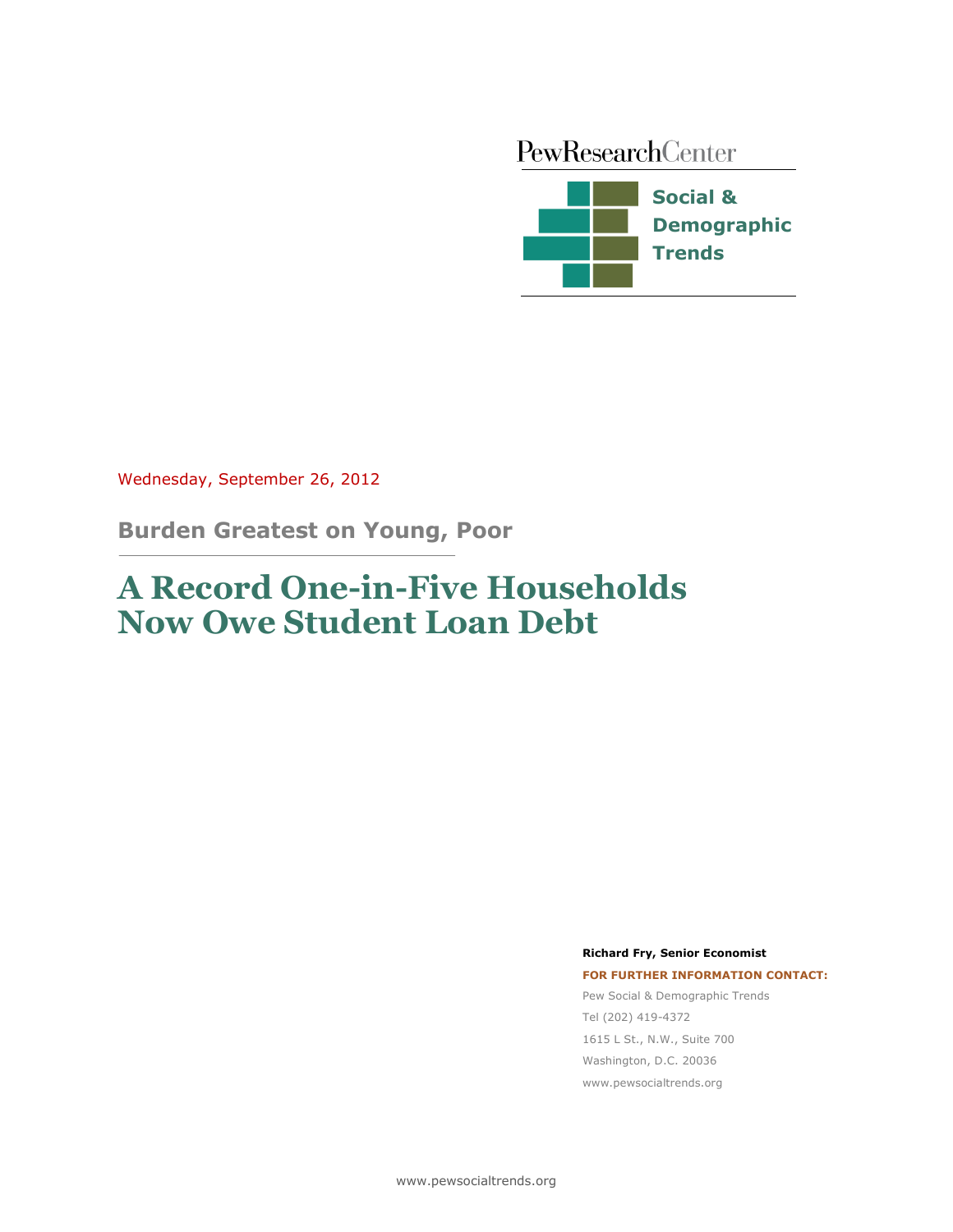PewResearchCenter



Wednesday, September 26, 2012

**Burden Greatest on Young, Poor**

# **A Record One-in-Five Households Now Owe Student Loan Debt**

**Richard Fry, Senior Economist**

**FOR FURTHER INFORMATION CONTACT:** Pew Social & Demographic Trends Tel (202) 419-4372 1615 L St., N.W., Suite 700 Washington, D.C. 20036 www.pewsocialtrends.org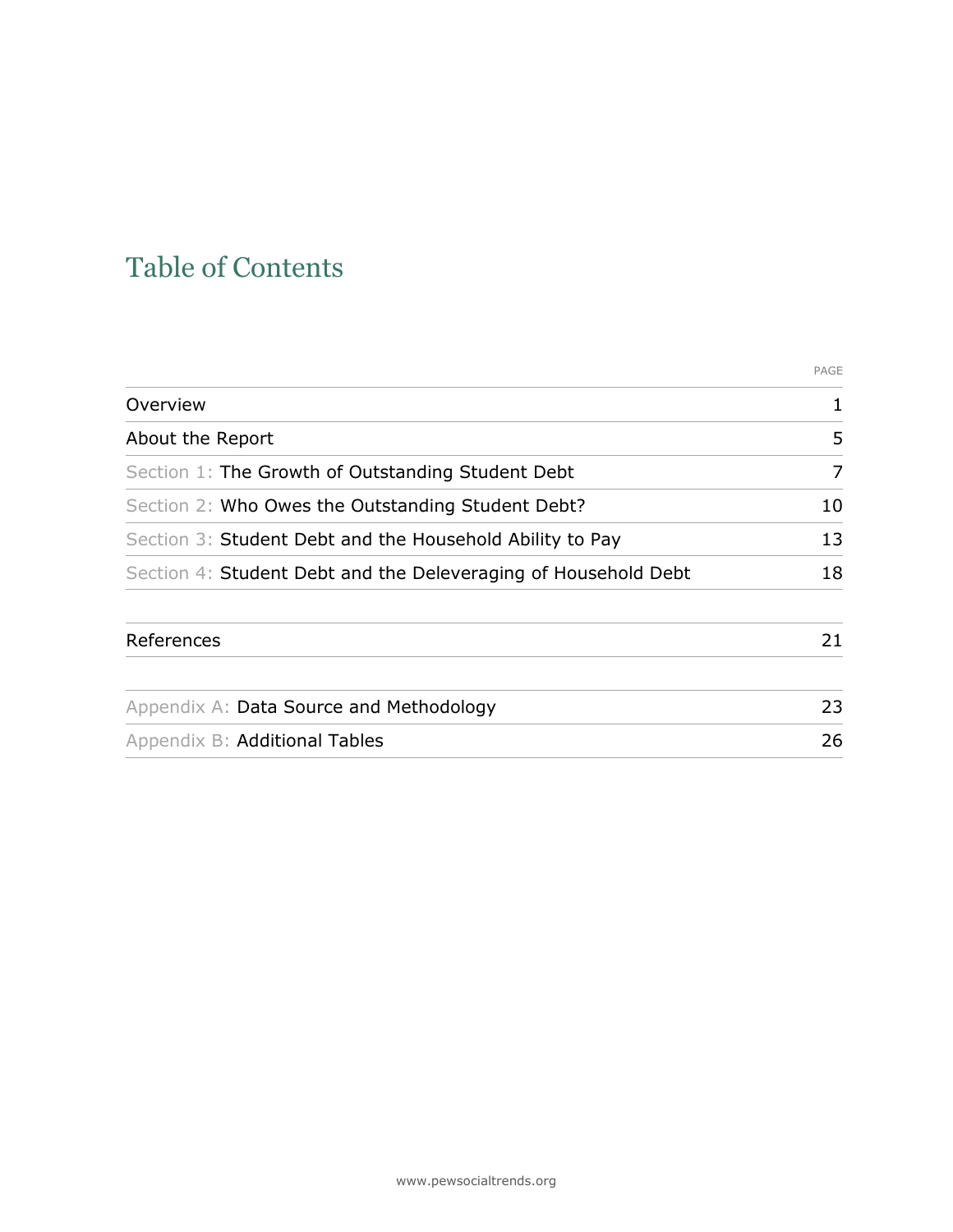# Table of Contents

|                                                                | PAGE |
|----------------------------------------------------------------|------|
| Overview                                                       | 1    |
| About the Report                                               | 5    |
| Section 1: The Growth of Outstanding Student Debt              | 7    |
| Section 2: Who Owes the Outstanding Student Debt?              | 10   |
| Section 3: Student Debt and the Household Ability to Pay       | 13   |
| Section 4: Student Debt and the Deleveraging of Household Debt | 18   |
| References                                                     | 21   |
| Appendix A: Data Source and Methodology                        | 23   |
| Appendix B: Additional Tables                                  | 26   |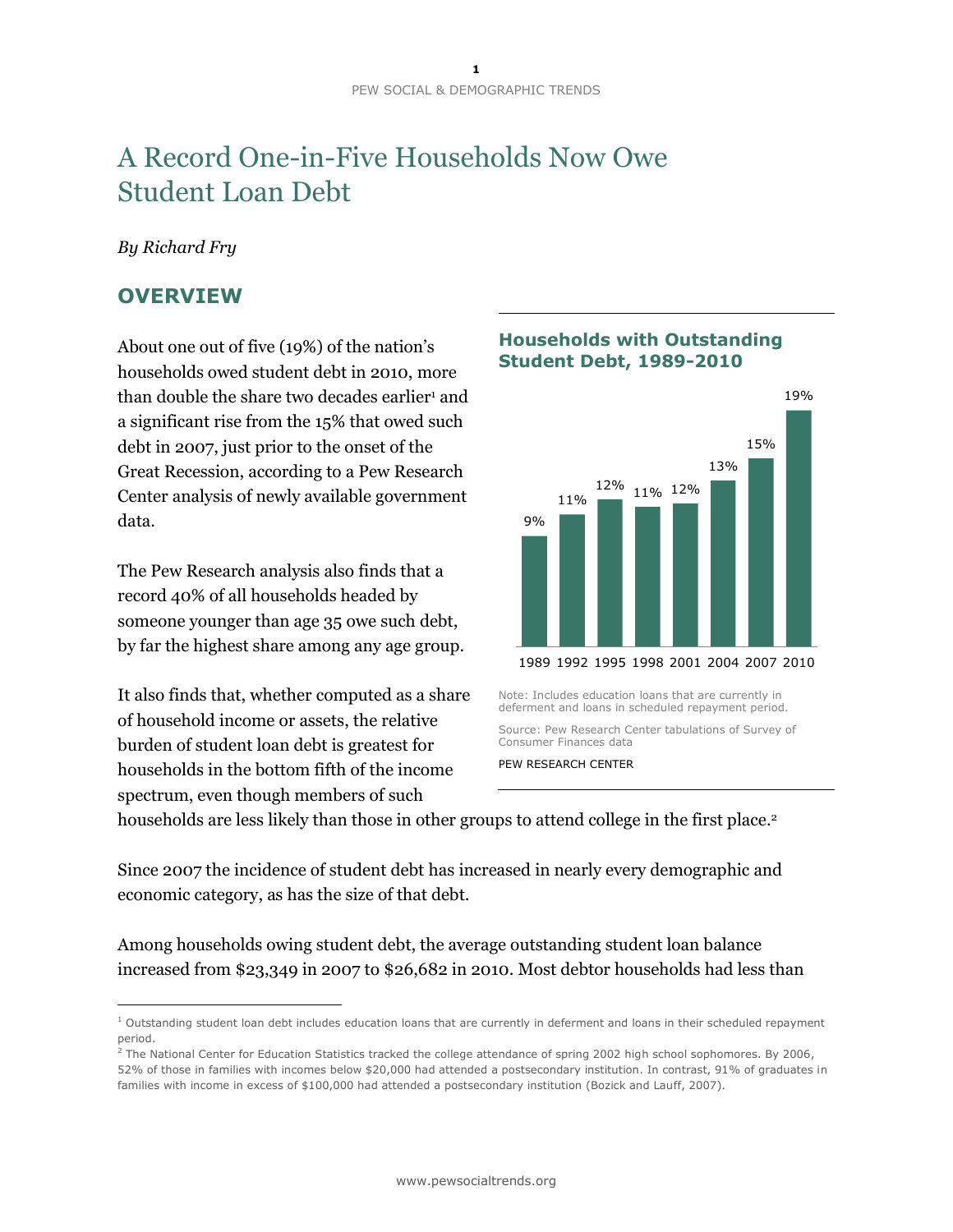# A Record One-in-Five Households Now Owe Student Loan Debt

## *By Richard Fry*

## **OVERVIEW**

 $\overline{a}$ 

About one out of five (19%) of the nation's households owed student debt in 2010, more than double the share two decades earlier<sup>1</sup> and a significant rise from the 15% that owed such debt in 2007, just prior to the onset of the Great Recession, according to a Pew Research Center analysis of newly available government data.

The Pew Research analysis also finds that a record 40% of all households headed by someone younger than age 35 owe such debt, by far the highest share among any age group.

It also finds that, whether computed as a share of household income or assets, the relative burden of student loan debt is greatest for households in the bottom fifth of the income spectrum, even though members of such

## **Households with Outstanding Student Debt, 1989-2010**



Note: Includes education loans that are currently in deferment and loans in scheduled repayment period.

Source: Pew Research Center tabulations of Survey of Consumer Finances data

PEW RESEARCH CENTER

households are less likely than those in other groups to attend college in the first place. 2

Since 2007 the incidence of student debt has increased in nearly every demographic and economic category, as has the size of that debt.

Among households owing student debt, the average outstanding student loan balance increased from \$23,349 in 2007 to \$26,682 in 2010. Most debtor households had less than

 $1$  Outstanding student loan debt includes education loans that are currently in deferment and loans in their scheduled repayment period.

 $2$  The National Center for Education Statistics tracked the college attendance of spring 2002 high school sophomores. By 2006, 52% of those in families with incomes below \$20,000 had attended a postsecondary institution. In contrast, 91% of graduates in families with income in excess of \$100,000 had attended a postsecondary institution (Bozick and Lauff, 2007).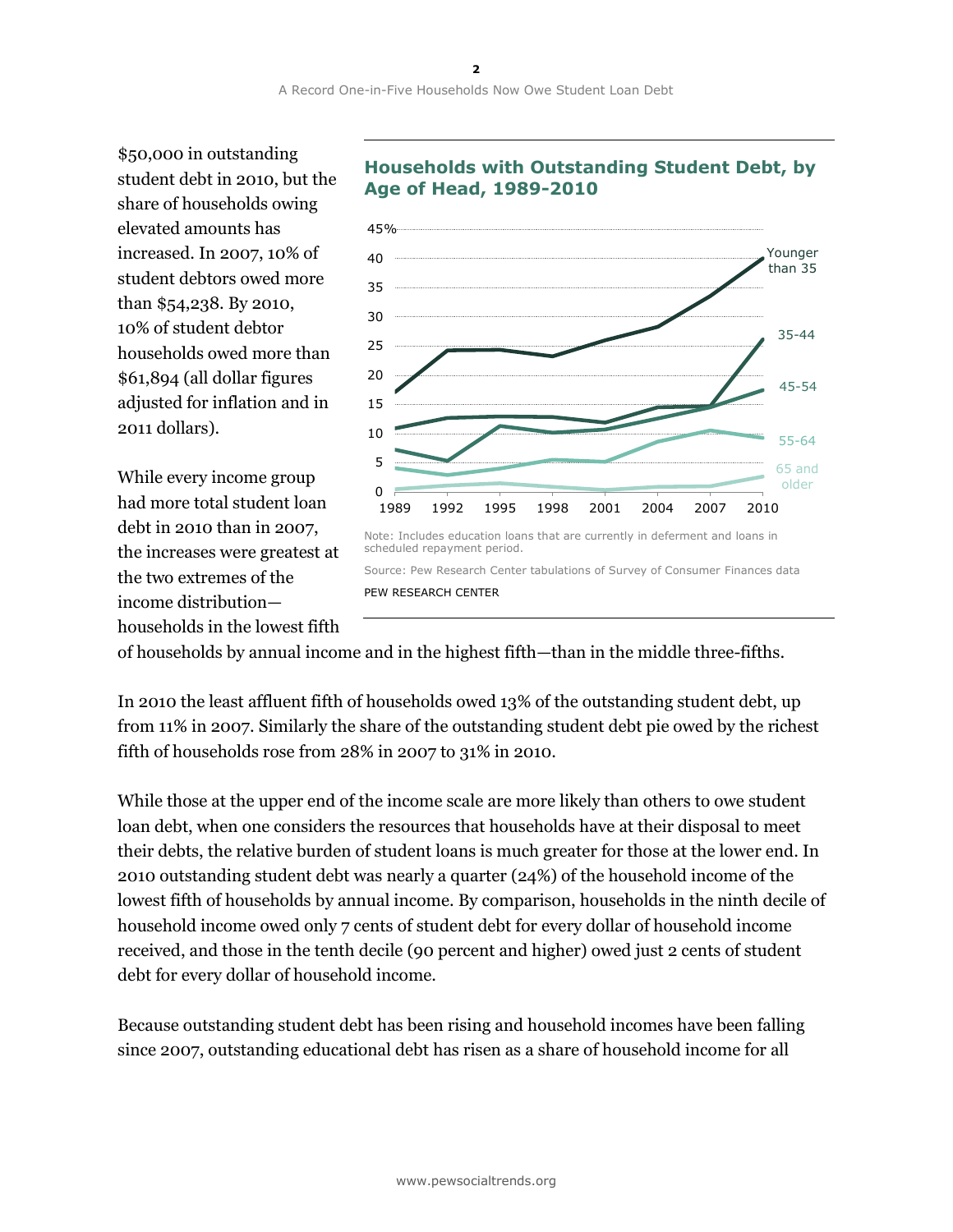\$50,000 in outstanding student debt in 2010, but the share of households owing elevated amounts has increased. In 2007, 10% of student debtors owed more than \$54,238. By 2010, 10% of student debtor households owed more than \$61,894 (all dollar figures adjusted for inflation and in 2011 dollars).

While every income group had more total student loan debt in 2010 than in 2007, the increases were greatest at the two extremes of the income distribution households in the lowest fifth



## **Households with Outstanding Student Debt, by Age of Head, 1989-2010**

of households by annual income and in the highest fifth—than in the middle three-fifths.

In 2010 the least affluent fifth of households owed 13% of the outstanding student debt, up from 11% in 2007. Similarly the share of the outstanding student debt pie owed by the richest fifth of households rose from 28% in 2007 to 31% in 2010.

While those at the upper end of the income scale are more likely than others to owe student loan debt, when one considers the resources that households have at their disposal to meet their debts, the relative burden of student loans is much greater for those at the lower end. In 2010 outstanding student debt was nearly a quarter (24%) of the household income of the lowest fifth of households by annual income. By comparison, households in the ninth decile of household income owed only 7 cents of student debt for every dollar of household income received, and those in the tenth decile (90 percent and higher) owed just 2 cents of student debt for every dollar of household income.

Because outstanding student debt has been rising and household incomes have been falling since 2007, outstanding educational debt has risen as a share of household income for all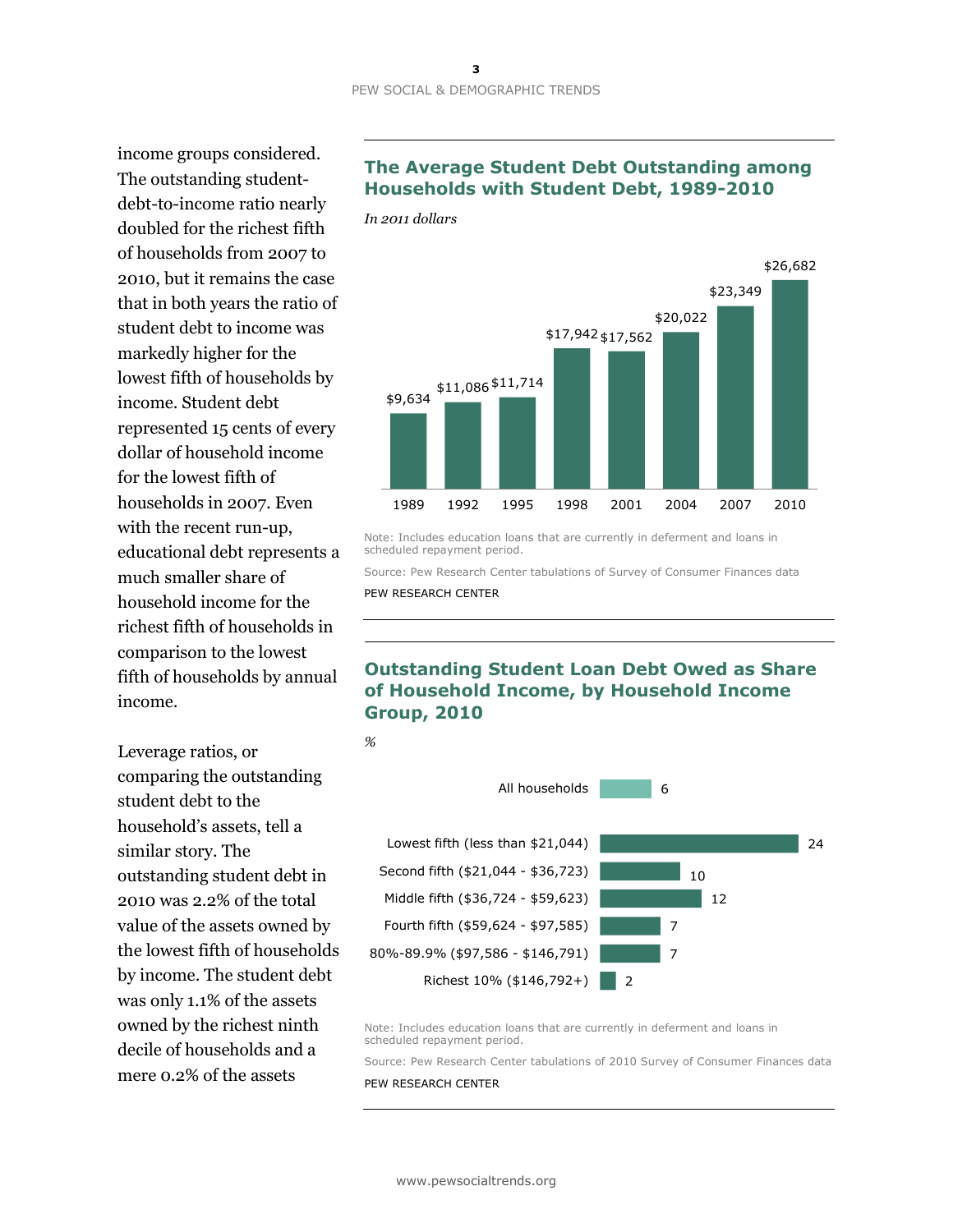income groups considered. The outstanding studentdebt-to-income ratio nearly doubled for the richest fifth of households from 2007 to 2010, but it remains the case that in both years the ratio of student debt to income was markedly higher for the lowest fifth of households by income. Student debt represented 15 cents of every dollar of household income for the lowest fifth of households in 2007. Even with the recent run-up, educational debt represents a much smaller share of household income for the richest fifth of households in comparison to the lowest fifth of households by annual income.

Leverage ratios, or comparing the outstanding student debt to the household's assets, tell a similar story. The outstanding student debt in 2010 was 2.2% of the total value of the assets owned by the lowest fifth of households by income. The student debt was only 1.1% of the assets owned by the richest ninth decile of households and a mere 0.2% of the assets

## **The Average Student Debt Outstanding among Households with Student Debt, 1989-2010**

*In 2011 dollars*



Note: Includes education loans that are currently in deferment and loans in scheduled repayment period.

Source: Pew Research Center tabulations of Survey of Consumer Finances data PEW RESEARCH CENTER

## **Outstanding Student Loan Debt Owed as Share of Household Income, by Household Income Group, 2010**



Note: Includes education loans that are currently in deferment and loans in scheduled repayment period.

Source: Pew Research Center tabulations of 2010 Survey of Consumer Finances data PEW RESEARCH CENTER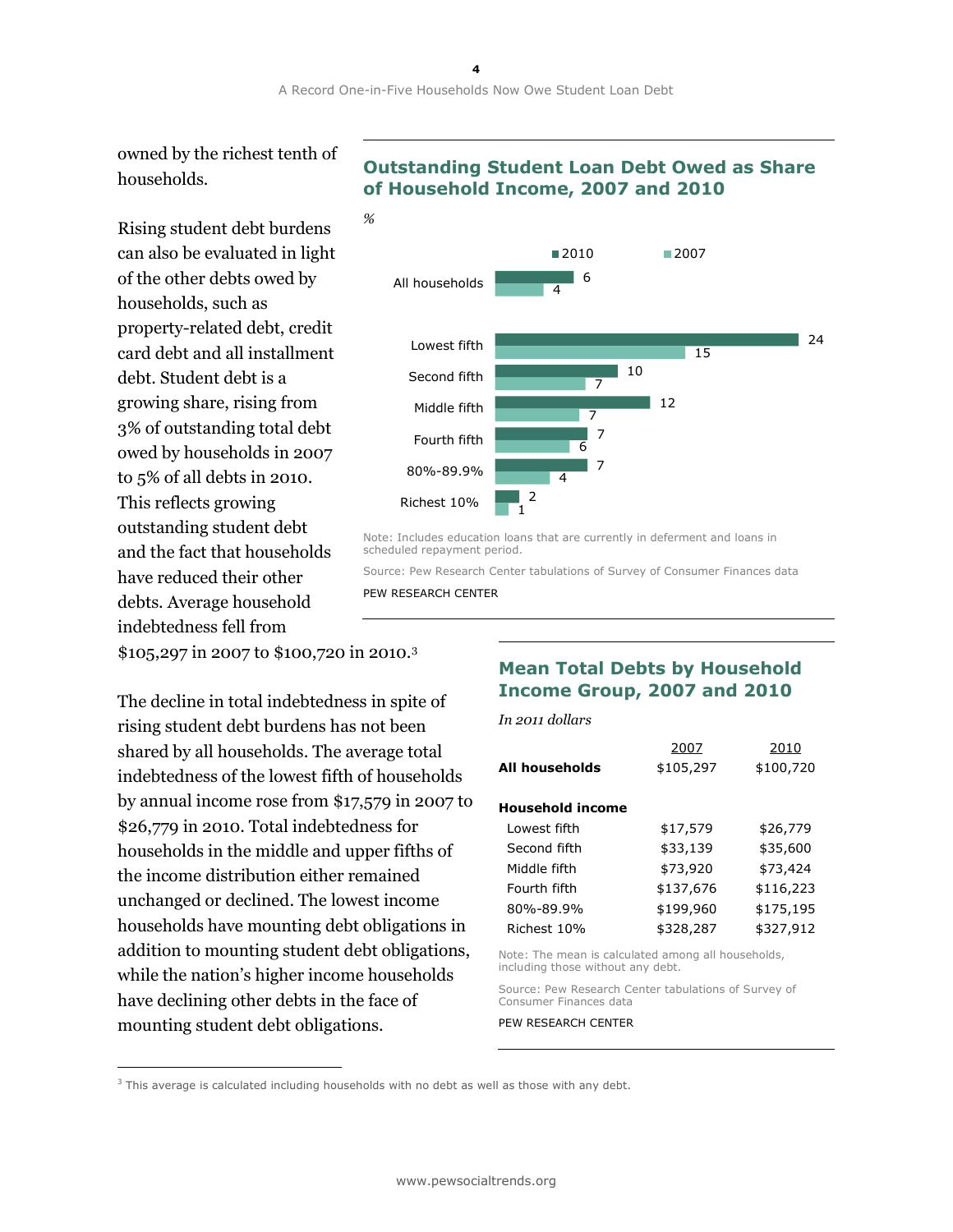owned by the richest tenth of households.

Rising student debt burdens can also be evaluated in light of the other debts owed by households, such as property-related debt, credit card debt and all installment debt. Student debt is a growing share, rising from 3% of outstanding total debt owed by households in 2007 to 5% of all debts in 2010. This reflects growing outstanding student debt and the fact that households have reduced their other debts. Average household indebtedness fell from

\$105,297 in 2007 to \$100,720 in 2010.<sup>3</sup>

The decline in total indebtedness in spite of rising student debt burdens has not been shared by all households. The average total indebtedness of the lowest fifth of households by annual income rose from \$17,579 in 2007 to \$26,779 in 2010. Total indebtedness for households in the middle and upper fifths of the income distribution either remained unchanged or declined. The lowest income households have mounting debt obligations in addition to mounting student debt obligations, while the nation's higher income households have declining other debts in the face of mounting student debt obligations.

 $\overline{a}$ 

## **Outstanding Student Loan Debt Owed as Share of Household Income, 2007 and 2010**



Note: Includes education loans that are currently in deferment and loans in scheduled repayment period.

Source: Pew Research Center tabulations of Survey of Consumer Finances data PEW RESEARCH CENTER

## **Mean Total Debts by Household Income Group, 2007 and 2010**

| In 2011 dollars         |           |           |
|-------------------------|-----------|-----------|
|                         | 2007      | 2010      |
| All households          | \$105,297 | \$100,720 |
| <b>Household income</b> |           |           |
| Lowest fifth            | \$17,579  | \$26,779  |
| Second fifth            | \$33,139  | \$35,600  |
| Middle fifth            | \$73,920  | \$73,424  |
| Fourth fifth            | \$137,676 | \$116,223 |
| 80%-89.9%               | \$199,960 | \$175,195 |
| Richest 10%             | \$328,287 | \$327,912 |
|                         |           |           |

Note: The mean is calculated among all households, including those without any debt.

Source: Pew Research Center tabulations of Survey of Consumer Finances data

 $3$  This average is calculated including households with no debt as well as those with any debt.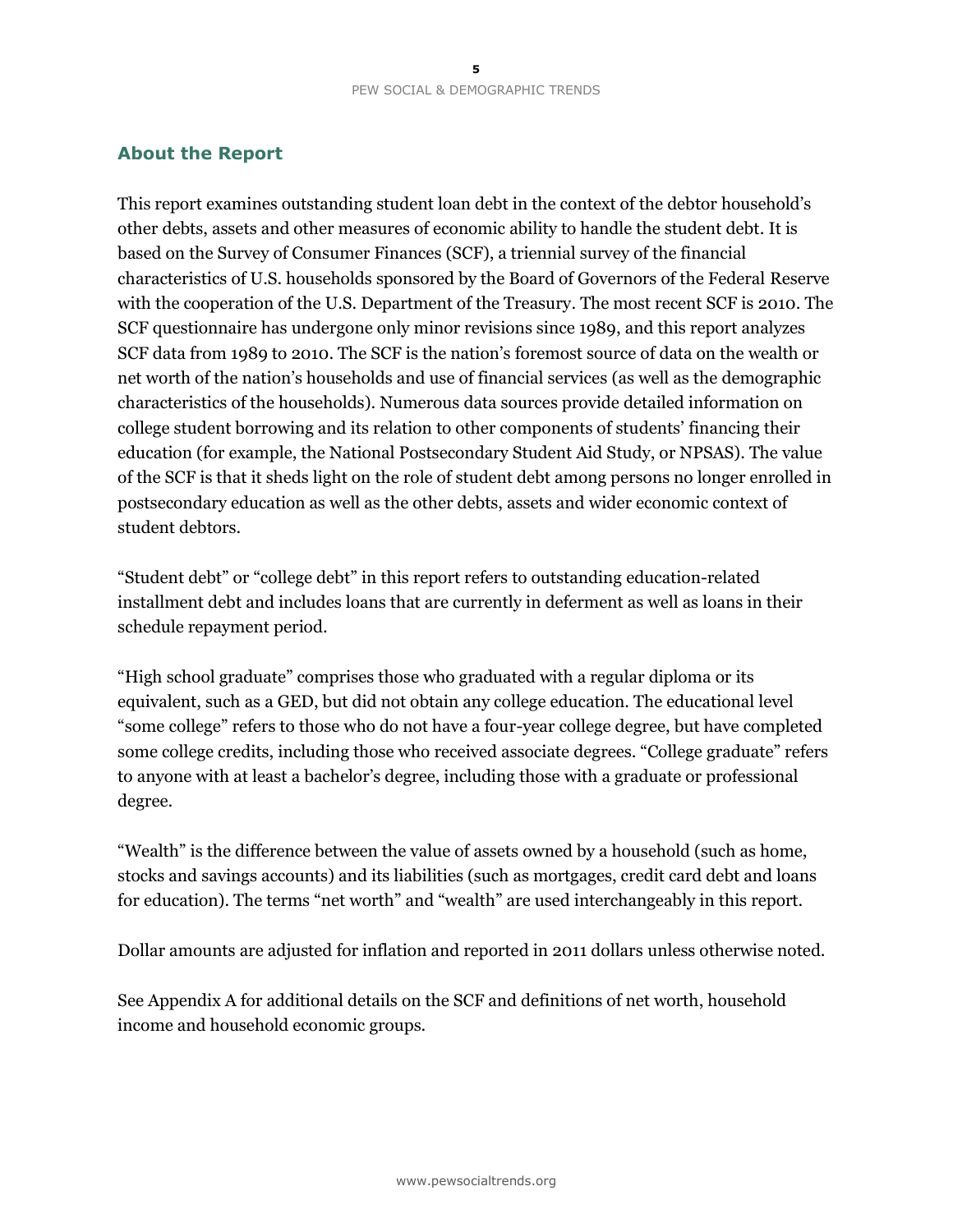## **About the Report**

This report examines outstanding student loan debt in the context of the debtor household's other debts, assets and other measures of economic ability to handle the student debt. It is based on the Survey of Consumer Finances (SCF), a triennial survey of the financial characteristics of U.S. households sponsored by the Board of Governors of the Federal Reserve with the cooperation of the U.S. Department of the Treasury. The most recent SCF is 2010. The SCF questionnaire has undergone only minor revisions since 1989, and this report analyzes SCF data from 1989 to 2010. The SCF is the nation's foremost source of data on the wealth or net worth of the nation's households and use of financial services (as well as the demographic characteristics of the households). Numerous data sources provide detailed information on college student borrowing and its relation to other components of students' financing their education (for example, the National Postsecondary Student Aid Study, or NPSAS). The value of the SCF is that it sheds light on the role of student debt among persons no longer enrolled in postsecondary education as well as the other debts, assets and wider economic context of student debtors.

"Student debt" or "college debt" in this report refers to outstanding education-related installment debt and includes loans that are currently in deferment as well as loans in their schedule repayment period.

"High school graduate" comprises those who graduated with a regular diploma or its equivalent, such as a GED, but did not obtain any college education. The educational level "some college" refers to those who do not have a four-year college degree, but have completed some college credits, including those who received associate degrees. "College graduate" refers to anyone with at least a bachelor's degree, including those with a graduate or professional degree.

"Wealth" is the difference between the value of assets owned by a household (such as home, stocks and savings accounts) and its liabilities (such as mortgages, credit card debt and loans for education). The terms "net worth" and "wealth" are used interchangeably in this report.

Dollar amounts are adjusted for inflation and reported in 2011 dollars unless otherwise noted.

See Appendix A for additional details on the SCF and definitions of net worth, household income and household economic groups.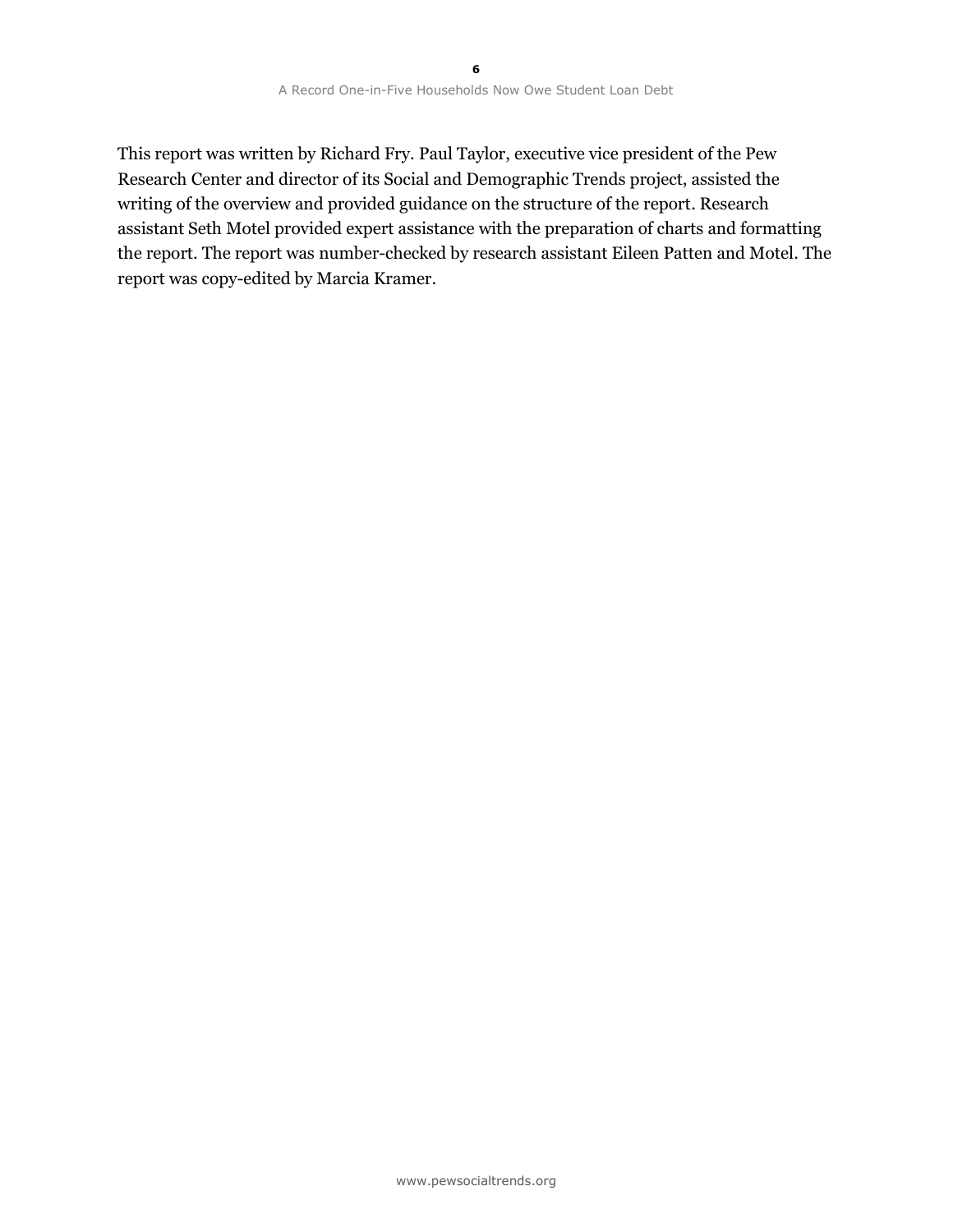This report was written by Richard Fry. Paul Taylor, executive vice president of the Pew Research Center and director of its Social and Demographic Trends project, assisted the writing of the overview and provided guidance on the structure of the report. Research assistant Seth Motel provided expert assistance with the preparation of charts and formatting the report. The report was number-checked by research assistant Eileen Patten and Motel. The report was copy-edited by Marcia Kramer.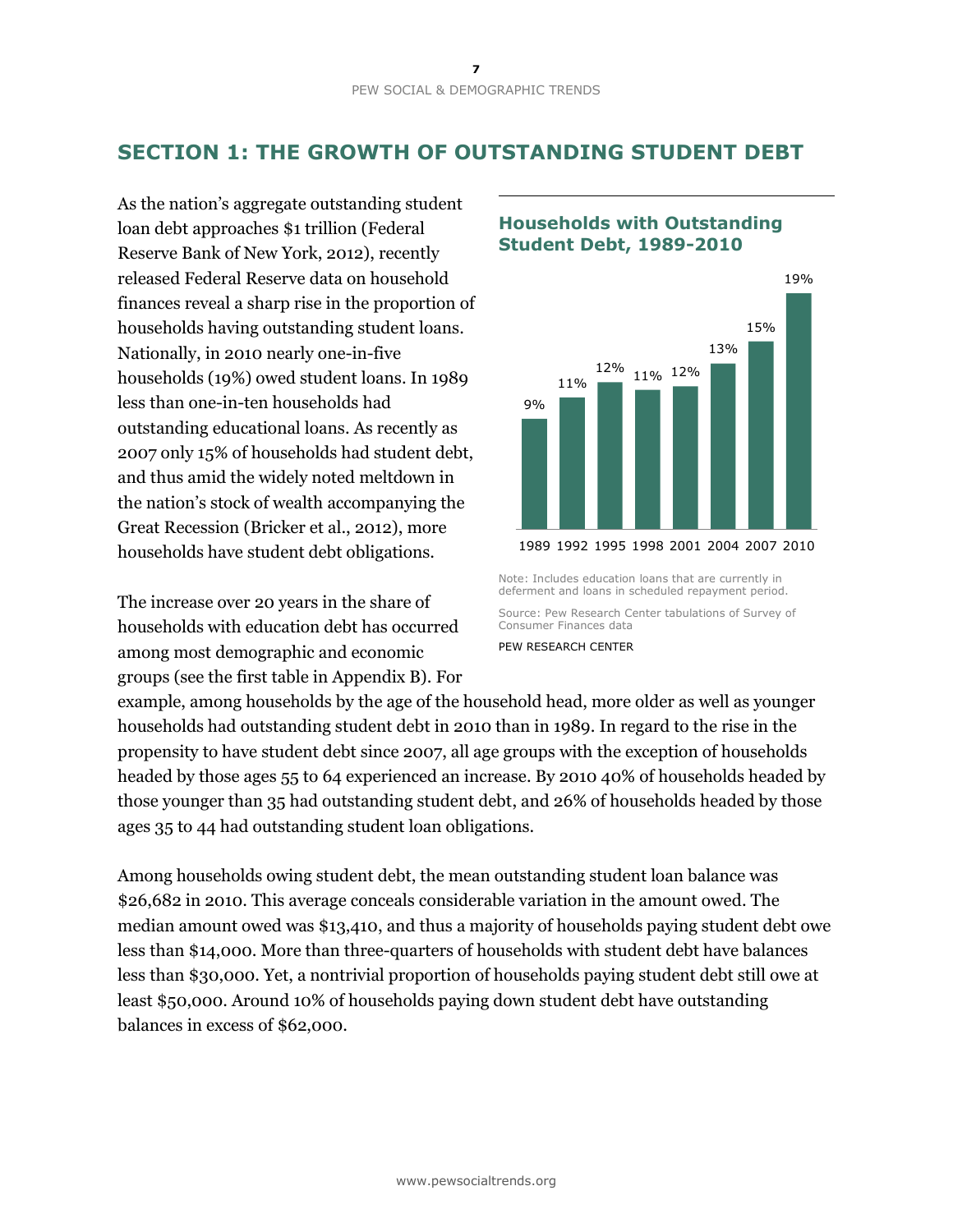## **SECTION 1: THE GROWTH OF OUTSTANDING STUDENT DEBT**

As the nation's aggregate outstanding student loan debt approaches \$1 trillion (Federal Reserve Bank of New York, 2012), recently released Federal Reserve data on household finances reveal a sharp rise in the proportion of households having outstanding student loans. Nationally, in 2010 nearly one-in-five households (19%) owed student loans. In 1989 less than one-in-ten households had outstanding educational loans. As recently as 2007 only 15% of households had student debt, and thus amid the widely noted meltdown in the nation's stock of wealth accompanying the Great Recession (Bricker et al., 2012), more households have student debt obligations.

The increase over 20 years in the share of households with education debt has occurred among most demographic and economic groups (see the first table in Appendix B). For

## **Households with Outstanding Student Debt, 1989-2010**



Note: Includes education loans that are currently in deferment and loans in scheduled repayment period.

Source: Pew Research Center tabulations of Survey of Consumer Finances data

PEW RESEARCH CENTER

example, among households by the age of the household head, more older as well as younger households had outstanding student debt in 2010 than in 1989. In regard to the rise in the propensity to have student debt since 2007, all age groups with the exception of households headed by those ages 55 to 64 experienced an increase. By 2010 40% of households headed by those younger than 35 had outstanding student debt, and 26% of households headed by those ages 35 to 44 had outstanding student loan obligations.

Among households owing student debt, the mean outstanding student loan balance was \$26,682 in 2010. This average conceals considerable variation in the amount owed. The median amount owed was \$13,410, and thus a majority of households paying student debt owe less than \$14,000. More than three-quarters of households with student debt have balances less than \$30,000. Yet, a nontrivial proportion of households paying student debt still owe at least \$50,000. Around 10% of households paying down student debt have outstanding balances in excess of \$62,000.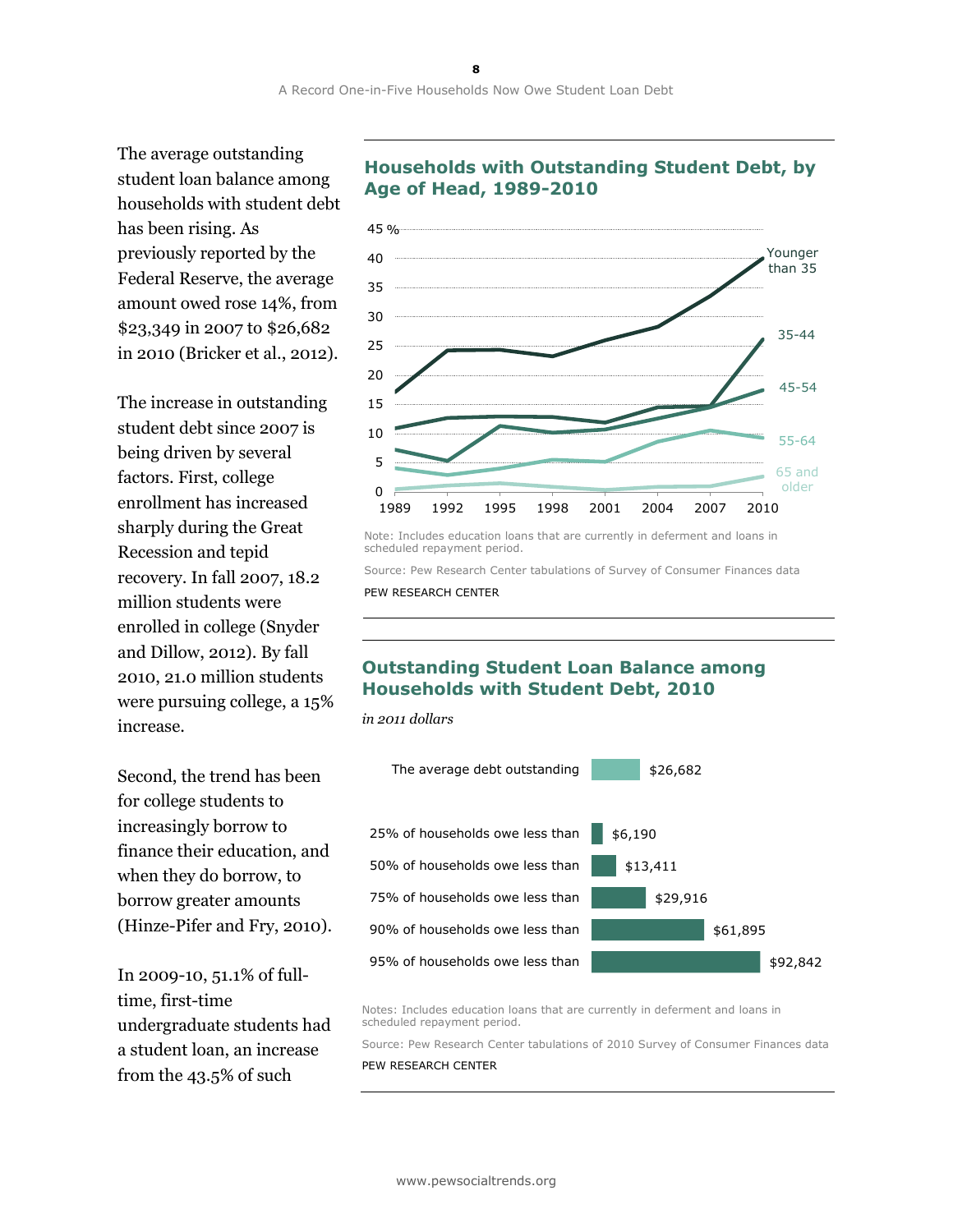The average outstanding student loan balance among households with student debt has been rising. As previously reported by the Federal Reserve, the average amount owed rose 14%, from \$23,349 in 2007 to \$26,682 in 2010 (Bricker et al., 2012).

The increase in outstanding student debt since 2007 is being driven by several factors. First, college enrollment has increased sharply during the Great Recession and tepid recovery. In fall 2007, 18.2 million students were enrolled in college (Snyder and Dillow, 2012). By fall 2010, 21.0 million students were pursuing college, a 15% increase.

Second, the trend has been for college students to increasingly borrow to finance their education, and when they do borrow, to borrow greater amounts (Hinze-Pifer and Fry, 2010).

In 2009-10, 51.1% of fulltime, first-time undergraduate students had a student loan, an increase from the 43.5% of such

## **Households with Outstanding Student Debt, by Age of Head, 1989-2010**



Note: Includes education loans that are currently in deferment and loans in scheduled repayment period.

Source: Pew Research Center tabulations of Survey of Consumer Finances data PEW RESEARCH CENTER

## **Outstanding Student Loan Balance among Households with Student Debt, 2010**

*in 2011 dollars*



Notes: Includes education loans that are currently in deferment and loans in scheduled repayment period.

Source: Pew Research Center tabulations of 2010 Survey of Consumer Finances data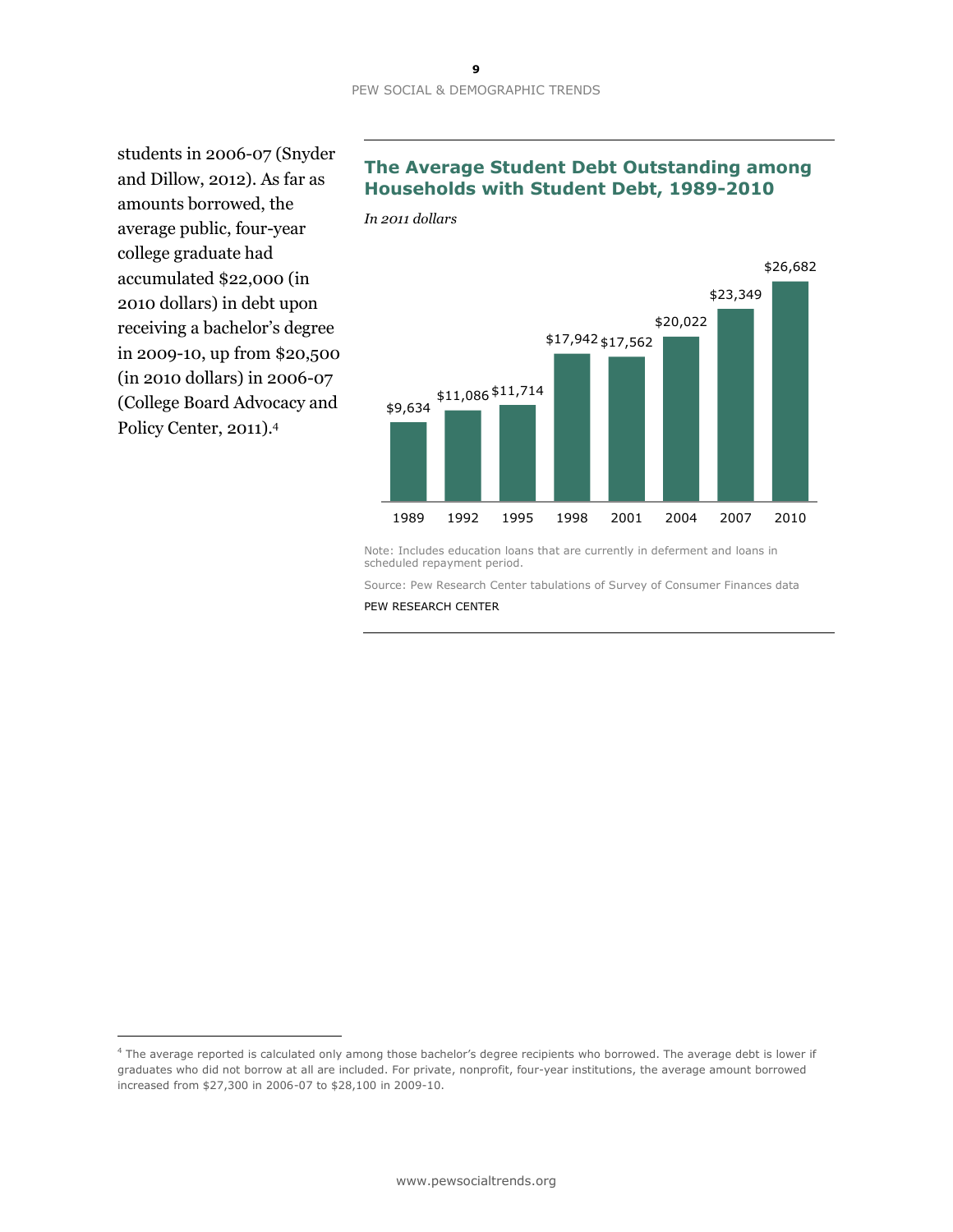*In 2011 dollars*

students in 2006-07 (Snyder and Dillow, 2012). As far as amounts borrowed, the average public, four-year college graduate had accumulated \$22,000 (in 2010 dollars) in debt upon receiving a bachelor's degree in 2009-10, up from \$20,500 (in 2010 dollars) in 2006-07 (College Board Advocacy and Policy Center, 2011).<sup>4</sup>

 $\overline{a}$ 

## **The Average Student Debt Outstanding among Households with Student Debt, 1989-2010**

\$9,634 \$11,086 \$11,714 \$17,942 \$17,562 \$20,022 \$23,349 \$26,682 1989 1992 1995 1998 2001 2004 2007 2010

Note: Includes education loans that are currently in deferment and loans in scheduled repayment period.

Source: Pew Research Center tabulations of Survey of Consumer Finances data

<sup>4</sup> The average reported is calculated only among those bachelor's degree recipients who borrowed. The average debt is lower if graduates who did not borrow at all are included. For private, nonprofit, four-year institutions, the average amount borrowed increased from \$27,300 in 2006-07 to \$28,100 in 2009-10.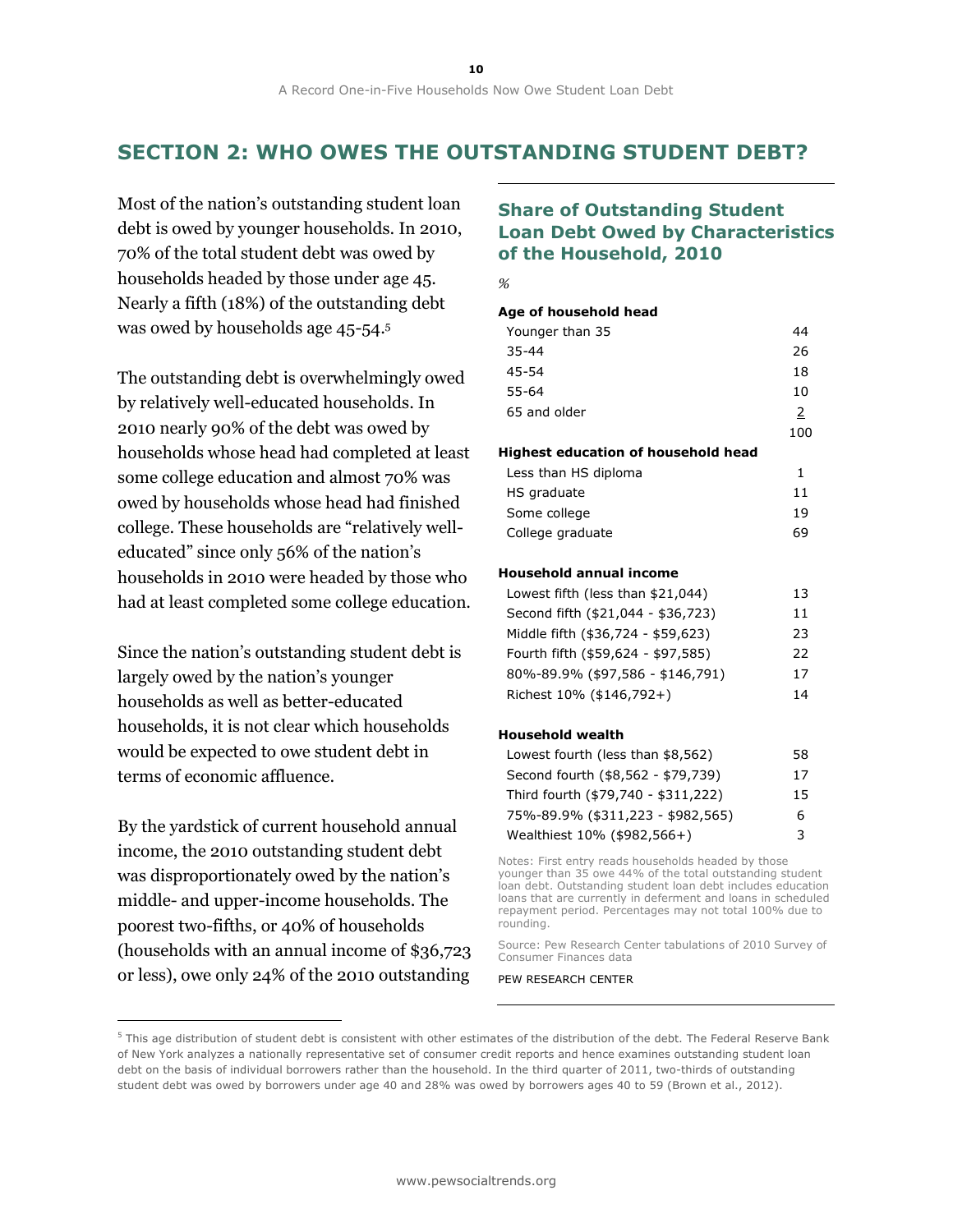## **SECTION 2: WHO OWES THE OUTSTANDING STUDENT DEBT?**

Most of the nation's outstanding student loan debt is owed by younger households. In 2010, 70% of the total student debt was owed by households headed by those under age 45. Nearly a fifth (18%) of the outstanding debt was owed by households age 45-54.<sup>5</sup>

The outstanding debt is overwhelmingly owed by relatively well-educated households. In 2010 nearly 90% of the debt was owed by households whose head had completed at least some college education and almost 70% was owed by households whose head had finished college. These households are "relatively welleducated" since only 56% of the nation's households in 2010 were headed by those who had at least completed some college education.

Since the nation's outstanding student debt is largely owed by the nation's younger households as well as better-educated households, it is not clear which households would be expected to owe student debt in terms of economic affluence.

By the yardstick of current household annual income, the 2010 outstanding student debt was disproportionately owed by the nation's middle- and upper-income households. The poorest two-fifths, or 40% of households (households with an annual income of \$36,723 or less), owe only 24% of the 2010 outstanding

 $\overline{a}$ 

## **Share of Outstanding Student Loan Debt Owed by Characteristics of the Household, 2010**

*%*

### **Age of household head**

| Younger than 35                     | 44  |
|-------------------------------------|-----|
| $35 - 44$                           | 26  |
| 45-54                               | 18  |
| 55-64                               | 10  |
| 65 and older                        | 2   |
|                                     | 100 |
| Highest education of household head |     |
| Less than HS diploma                | 1   |
| HS graduate                         | 11  |
| Some college                        | 19  |
| College graduate                    | 69  |

#### **Household annual income**

| Lowest fifth (less than \$21,044)  | 13 |
|------------------------------------|----|
| Second fifth (\$21,044 - \$36,723) | 11 |
| Middle fifth (\$36,724 - \$59,623) | フ3 |
| Fourth fifth (\$59,624 - \$97,585) | 22 |
| 80%-89.9% (\$97,586 - \$146,791)   | 17 |
| Richest 10% (\$146,792+)           | 14 |
|                                    |    |

#### **Household wealth**

| Lowest fourth (less than \$8,562)   | 58 |
|-------------------------------------|----|
| Second fourth (\$8,562 - \$79,739)  | 17 |
| Third fourth (\$79,740 - \$311,222) | 15 |
| 75%-89.9% (\$311,223 - \$982,565)   | 6  |
| Wealthiest 10% (\$982,566+)         | 3  |

Notes: First entry reads households headed by those younger than 35 owe 44% of the total outstanding student loan debt. Outstanding student loan debt includes education loans that are currently in deferment and loans in scheduled repayment period. Percentages may not total 100% due to rounding.

Source: Pew Research Center tabulations of 2010 Survey of Consumer Finances data

 $5$  This age distribution of student debt is consistent with other estimates of the distribution of the debt. The Federal Reserve Bank of New York analyzes a nationally representative set of consumer credit reports and hence examines outstanding student loan debt on the basis of individual borrowers rather than the household. In the third quarter of 2011, two-thirds of outstanding student debt was owed by borrowers under age 40 and 28% was owed by borrowers ages 40 to 59 (Brown et al., 2012).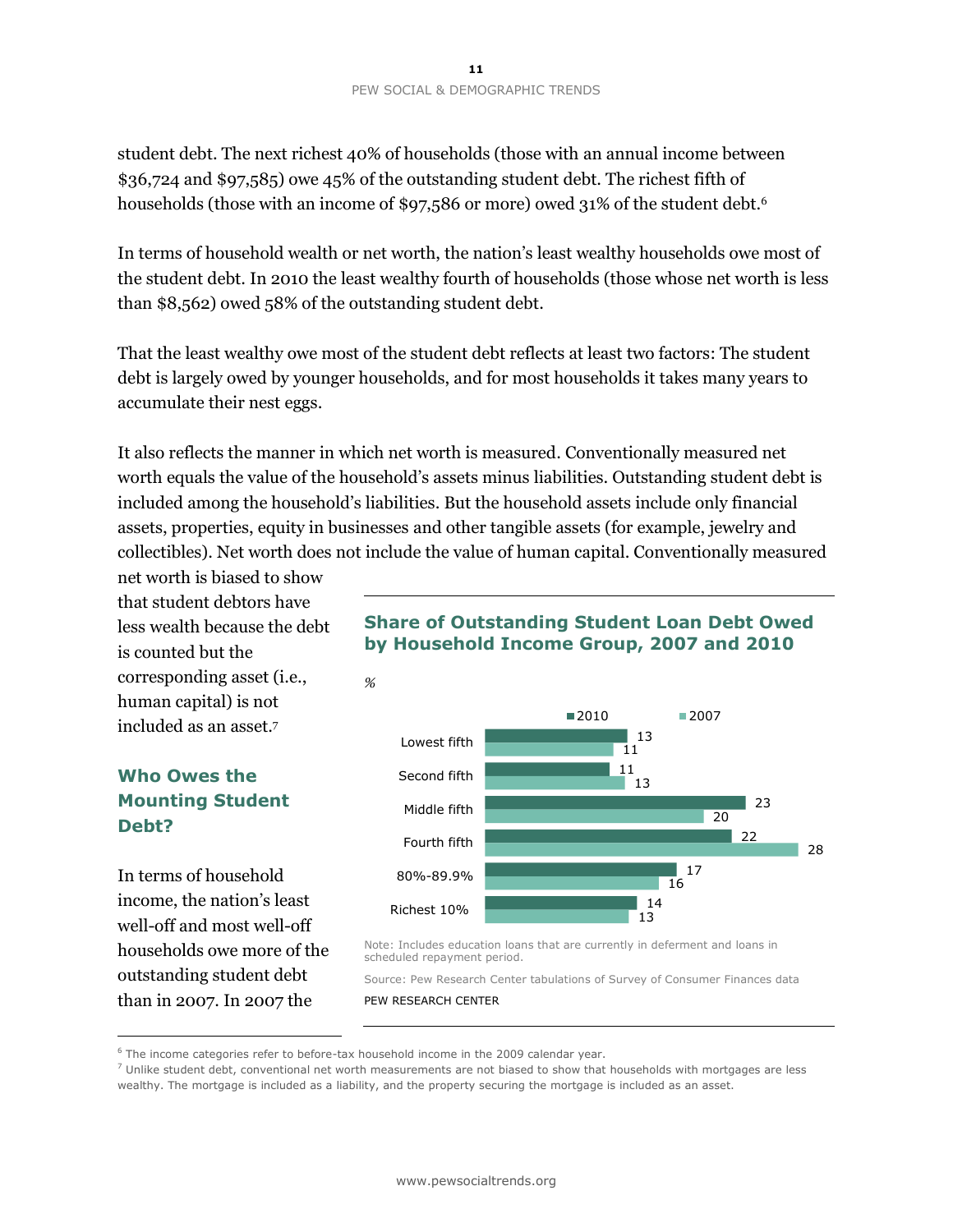student debt. The next richest 40% of households (those with an annual income between \$36,724 and \$97,585) owe 45% of the outstanding student debt. The richest fifth of households (those with an income of \$97,586 or more) owed 31% of the student debt.<sup>6</sup>

In terms of household wealth or net worth, the nation's least wealthy households owe most of the student debt. In 2010 the least wealthy fourth of households (those whose net worth is less than \$8,562) owed 58% of the outstanding student debt.

That the least wealthy owe most of the student debt reflects at least two factors: The student debt is largely owed by younger households, and for most households it takes many years to accumulate their nest eggs.

It also reflects the manner in which net worth is measured. Conventionally measured net worth equals the value of the household's assets minus liabilities. Outstanding student debt is included among the household's liabilities. But the household assets include only financial assets, properties, equity in businesses and other tangible assets (for example, jewelry and collectibles). Net worth does not include the value of human capital. Conventionally measured

net worth is biased to show that student debtors have less wealth because the debt is counted but the corresponding asset (i.e., human capital) is not included as an asset.<sup>7</sup>

## **Who Owes the Mounting Student Debt?**

In terms of household income, the nation's least well-off and most well-off households owe more of the outstanding student debt than in 2007. In 2007 the

 $\overline{a}$ 

## **Share of Outstanding Student Loan Debt Owed by Household Income Group, 2007 and 2010**



Note: Includes education loans that are currently in deferment and loans in scheduled repayment period.

Source: Pew Research Center tabulations of Survey of Consumer Finances data PEW RESEARCH CENTER

<sup>&</sup>lt;sup>6</sup> The income categories refer to before-tax household income in the 2009 calendar year.

 $7$  Unlike student debt, conventional net worth measurements are not biased to show that households with mortgages are less wealthy. The mortgage is included as a liability, and the property securing the mortgage is included as an asset.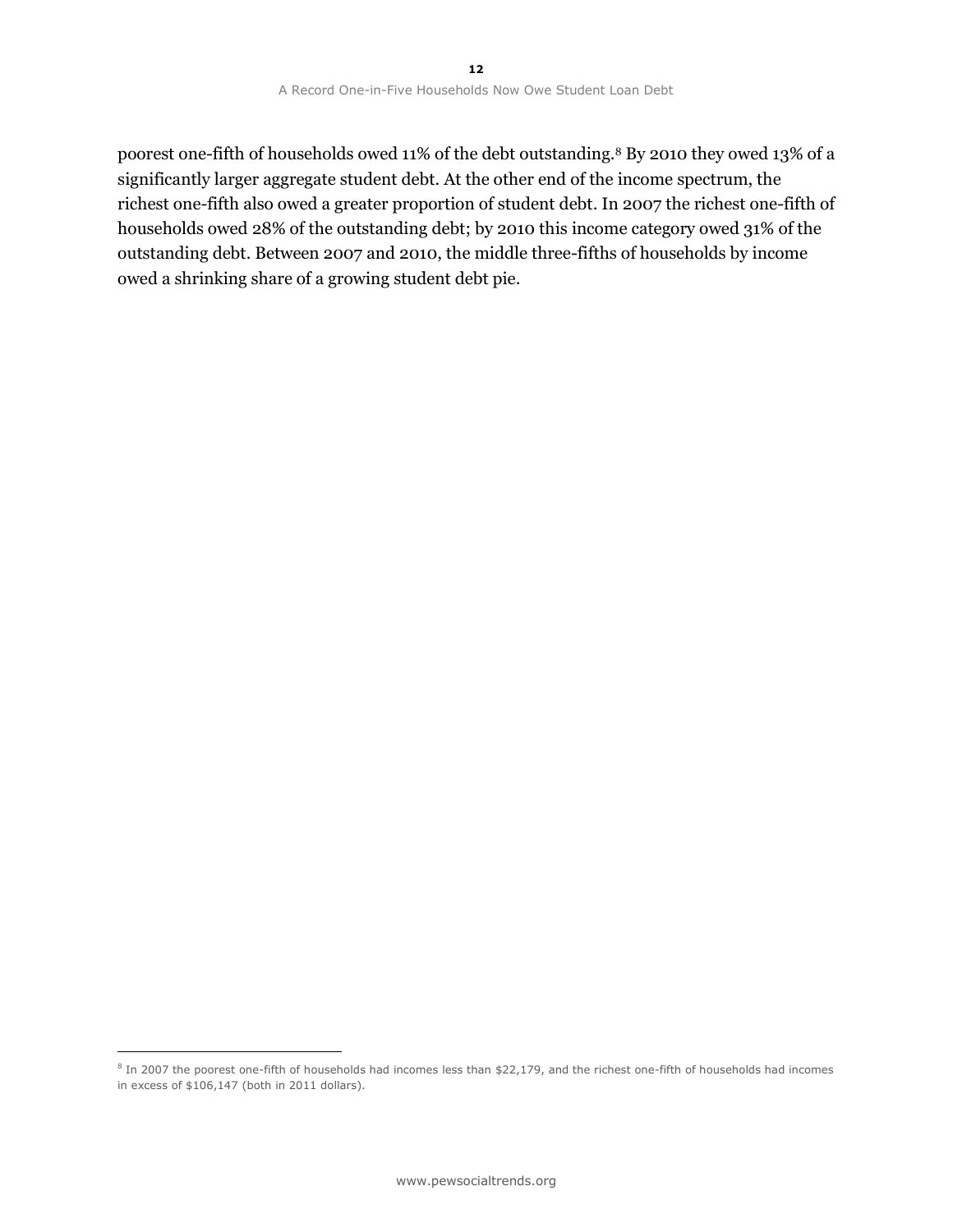poorest one-fifth of households owed 11% of the debt outstanding.<sup>8</sup> By 2010 they owed 13% of a significantly larger aggregate student debt. At the other end of the income spectrum, the richest one-fifth also owed a greater proportion of student debt. In 2007 the richest one-fifth of households owed 28% of the outstanding debt; by 2010 this income category owed 31% of the outstanding debt. Between 2007 and 2010, the middle three-fifths of households by income owed a shrinking share of a growing student debt pie.

 $\overline{a}$ 

 $8$  In 2007 the poorest one-fifth of households had incomes less than \$22,179, and the richest one-fifth of households had incomes in excess of \$106,147 (both in 2011 dollars).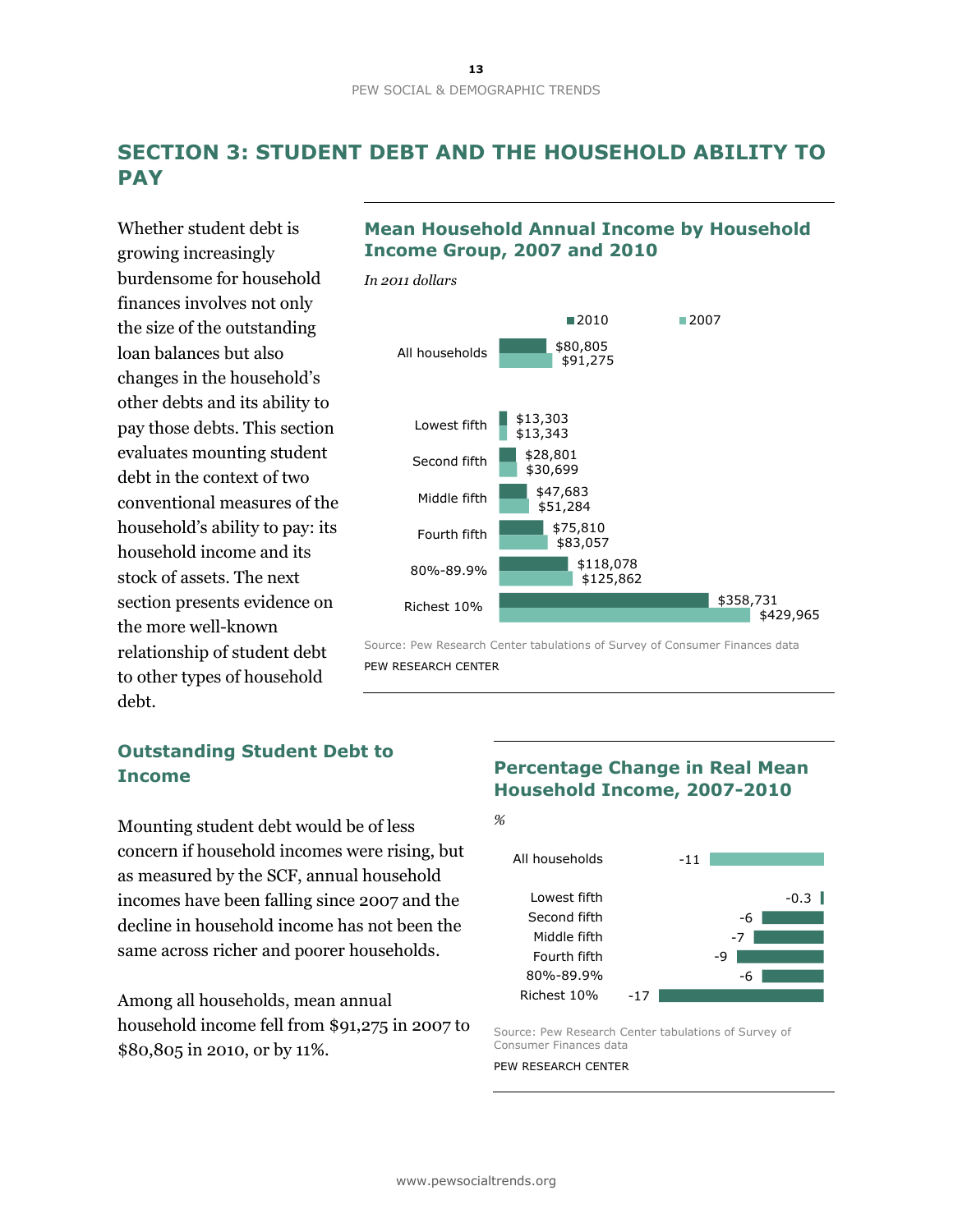## **SECTION 3: STUDENT DEBT AND THE HOUSEHOLD ABILITY TO PAY**

Whether student debt is growing increasingly burdensome for household finances involves not only the size of the outstanding loan balances but also changes in the household's other debts and its ability to pay those debts. This section evaluates mounting student debt in the context of two conventional measures of the household's ability to pay: its household income and its stock of assets. The next section presents evidence on the more well-known relationship of student debt to other types of household debt.

## **Outstanding Student Debt to Income**

Mounting student debt would be of less concern if household incomes were rising, but as measured by the SCF, annual household incomes have been falling since 2007 and the decline in household income has not been the same across richer and poorer households.

Among all households, mean annual household income fell from \$91,275 in 2007 to \$80,805 in 2010, or by 11%.

## **Mean Household Annual Income by Household Income Group, 2007 and 2010**



Source: Pew Research Center tabulations of Survey of Consumer Finances data PEW RESEARCH CENTER

## **Percentage Change in Real Mean Household Income, 2007-2010**

*%*



Source: Pew Research Center tabulations of Survey of Consumer Finances data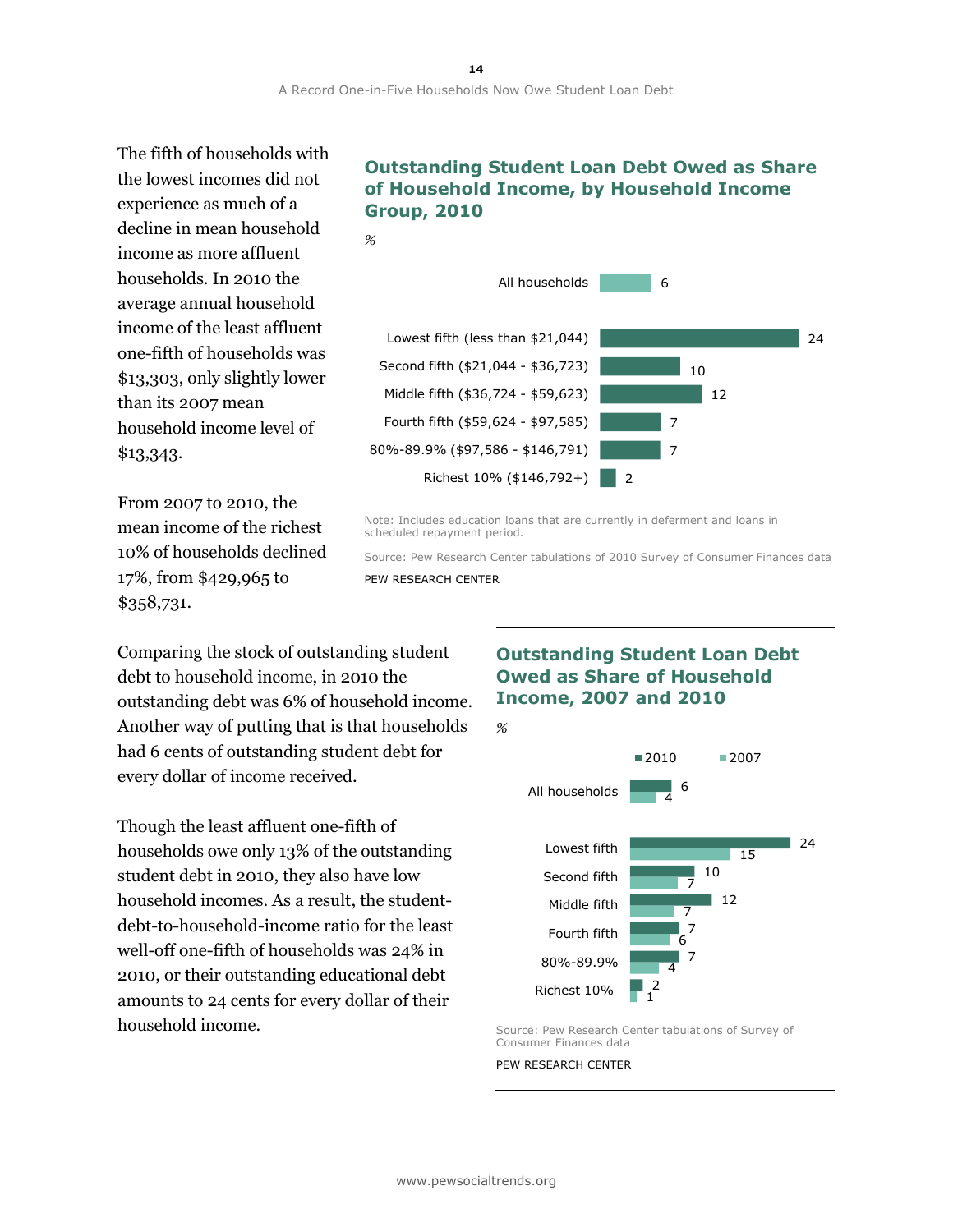The fifth of households with the lowest incomes did not experience as much of a decline in mean household income as more affluent households. In 2010 the average annual household income of the least affluent one-fifth of households was \$13,303, only slightly lower than its 2007 mean household income level of \$13,343.

From 2007 to 2010, the mean income of the richest 10% of households declined 17%, from \$429,965 to \$358,731.

## **Outstanding Student Loan Debt Owed as Share of Household Income, by Household Income Group, 2010**



Note: Includes education loans that are currently in deferment and loans in scheduled repayment period.

Source: Pew Research Center tabulations of 2010 Survey of Consumer Finances data PEW RESEARCH CENTER

Comparing the stock of outstanding student debt to household income, in 2010 the outstanding debt was 6% of household income. Another way of putting that is that households had 6 cents of outstanding student debt for every dollar of income received.

Though the least affluent one-fifth of households owe only 13% of the outstanding student debt in 2010, they also have low household incomes. As a result, the studentdebt-to-household-income ratio for the least well-off one-fifth of households was 24% in 2010, or their outstanding educational debt amounts to 24 cents for every dollar of their household income.

## **Outstanding Student Loan Debt Owed as Share of Household Income, 2007 and 2010**



Source: Pew Research Center tabulations of Survey of Consumer Finances data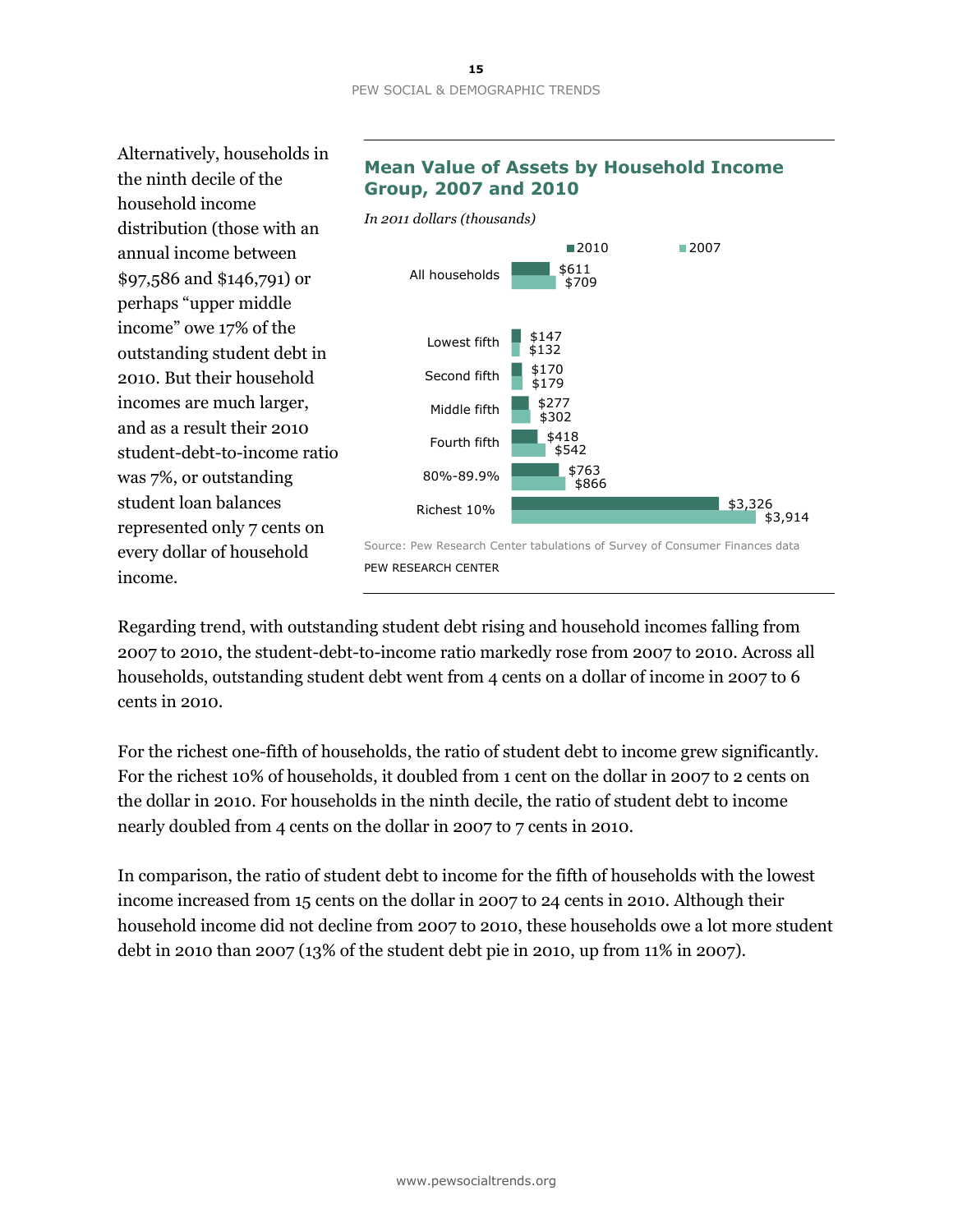#### **15** PEW SOCIAL & DEMOGRAPHIC TRENDS

Alternatively, households in the ninth decile of the household income distribution (those with an annual income between \$97,586 and \$146,791) or perhaps "upper middle income" owe 17% of the outstanding student debt in 2010. But their household incomes are much larger, and as a result their 2010 student-debt-to-income ratio was 7%, or outstanding student loan balances represented only 7 cents on every dollar of household income.

## **Mean Value of Assets by Household Income Group, 2007 and 2010**



PEW RESEARCH CENTER

Regarding trend, with outstanding student debt rising and household incomes falling from 2007 to 2010, the student-debt-to-income ratio markedly rose from 2007 to 2010. Across all households, outstanding student debt went from 4 cents on a dollar of income in 2007 to 6 cents in 2010.

For the richest one-fifth of households, the ratio of student debt to income grew significantly. For the richest 10% of households, it doubled from 1 cent on the dollar in 2007 to 2 cents on the dollar in 2010. For households in the ninth decile, the ratio of student debt to income nearly doubled from 4 cents on the dollar in 2007 to 7 cents in 2010.

In comparison, the ratio of student debt to income for the fifth of households with the lowest income increased from 15 cents on the dollar in 2007 to 24 cents in 2010. Although their household income did not decline from 2007 to 2010, these households owe a lot more student debt in 2010 than 2007 (13% of the student debt pie in 2010, up from 11% in 2007).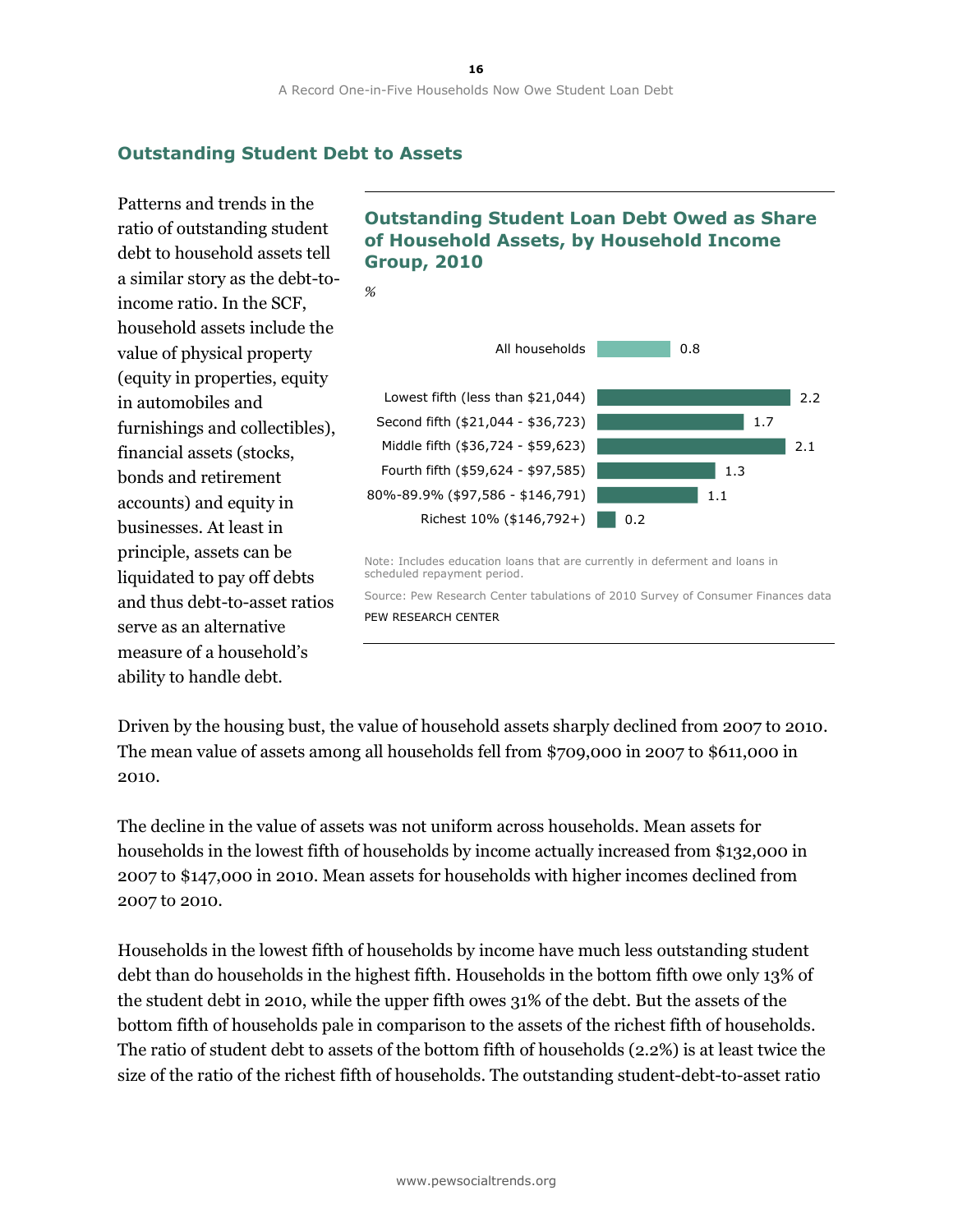## **Outstanding Student Debt to Assets**

*%*

Patterns and trends in the ratio of outstanding student debt to household assets tell a similar story as the debt-toincome ratio. In the SCF, household assets include the value of physical property (equity in properties, equity in automobiles and furnishings and collectibles), financial assets (stocks, bonds and retirement accounts) and equity in businesses. At least in principle, assets can be liquidated to pay off debts and thus debt-to-asset ratios serve as an alternative measure of a household's ability to handle debt.

## **Outstanding Student Loan Debt Owed as Share of Household Assets, by Household Income Group, 2010**



Source: Pew Research Center tabulations of 2010 Survey of Consumer Finances data PEW RESEARCH CENTER

Driven by the housing bust, the value of household assets sharply declined from 2007 to 2010. The mean value of assets among all households fell from \$709,000 in 2007 to \$611,000 in 2010.

The decline in the value of assets was not uniform across households. Mean assets for households in the lowest fifth of households by income actually increased from \$132,000 in 2007 to \$147,000 in 2010. Mean assets for households with higher incomes declined from 2007 to 2010.

Households in the lowest fifth of households by income have much less outstanding student debt than do households in the highest fifth. Households in the bottom fifth owe only 13% of the student debt in 2010, while the upper fifth owes 31% of the debt. But the assets of the bottom fifth of households pale in comparison to the assets of the richest fifth of households. The ratio of student debt to assets of the bottom fifth of households (2.2%) is at least twice the size of the ratio of the richest fifth of households. The outstanding student-debt-to-asset ratio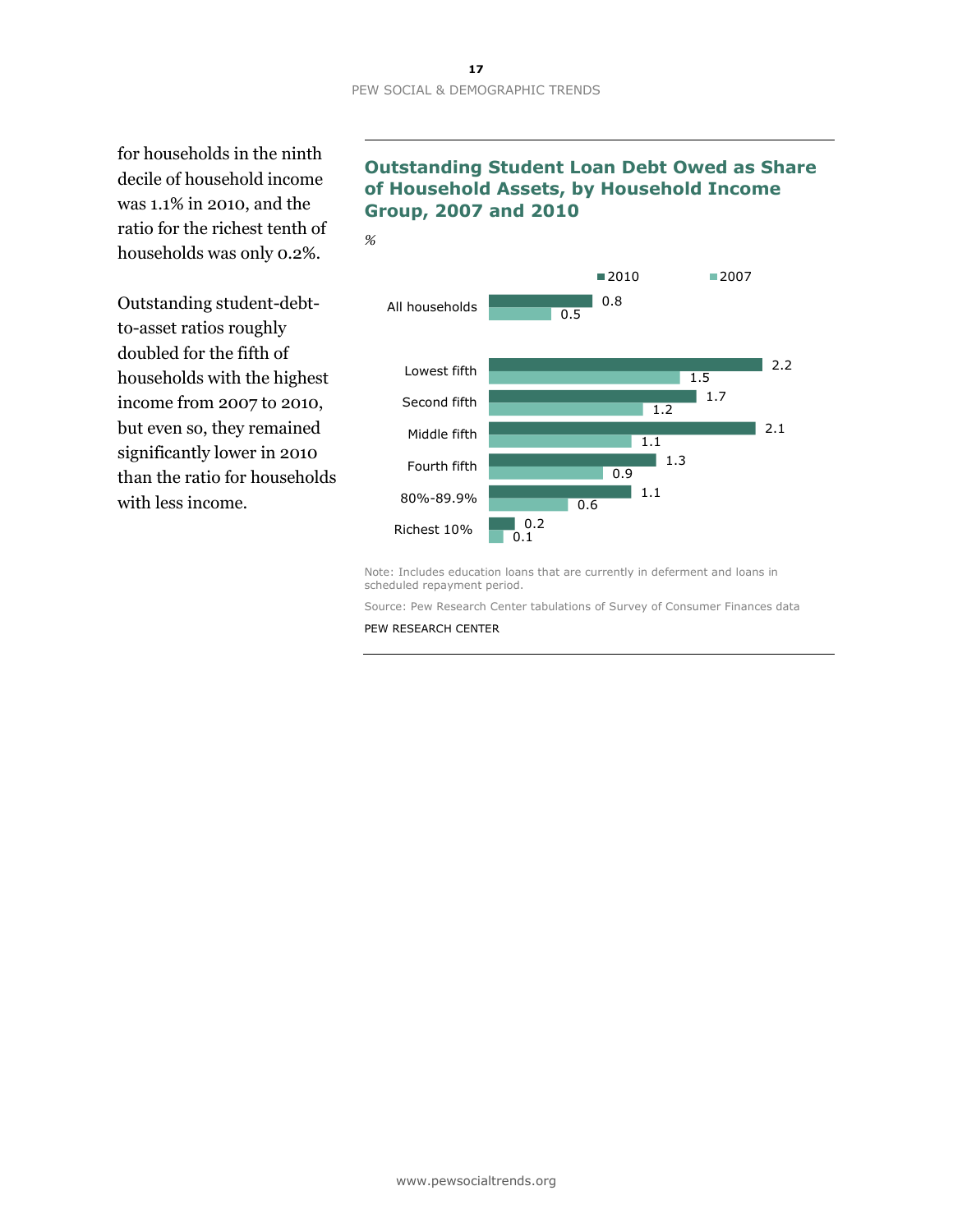for households in the ninth decile of household income was 1.1% in 2010, and the ratio for the richest tenth of households was only 0.2%.

Outstanding student-debtto-asset ratios roughly doubled for the fifth of households with the highest income from 2007 to 2010, but even so, they remained significantly lower in 2010 than the ratio for households with less income.

## **of Household Assets, by Household Income Group, 2007 and 2010**





Note: Includes education loans that are currently in deferment and loans in scheduled repayment period.

Source: Pew Research Center tabulations of Survey of Consumer Finances data

PEW RESEARCH CENTER

# **Outstanding Student Loan Debt Owed as Share**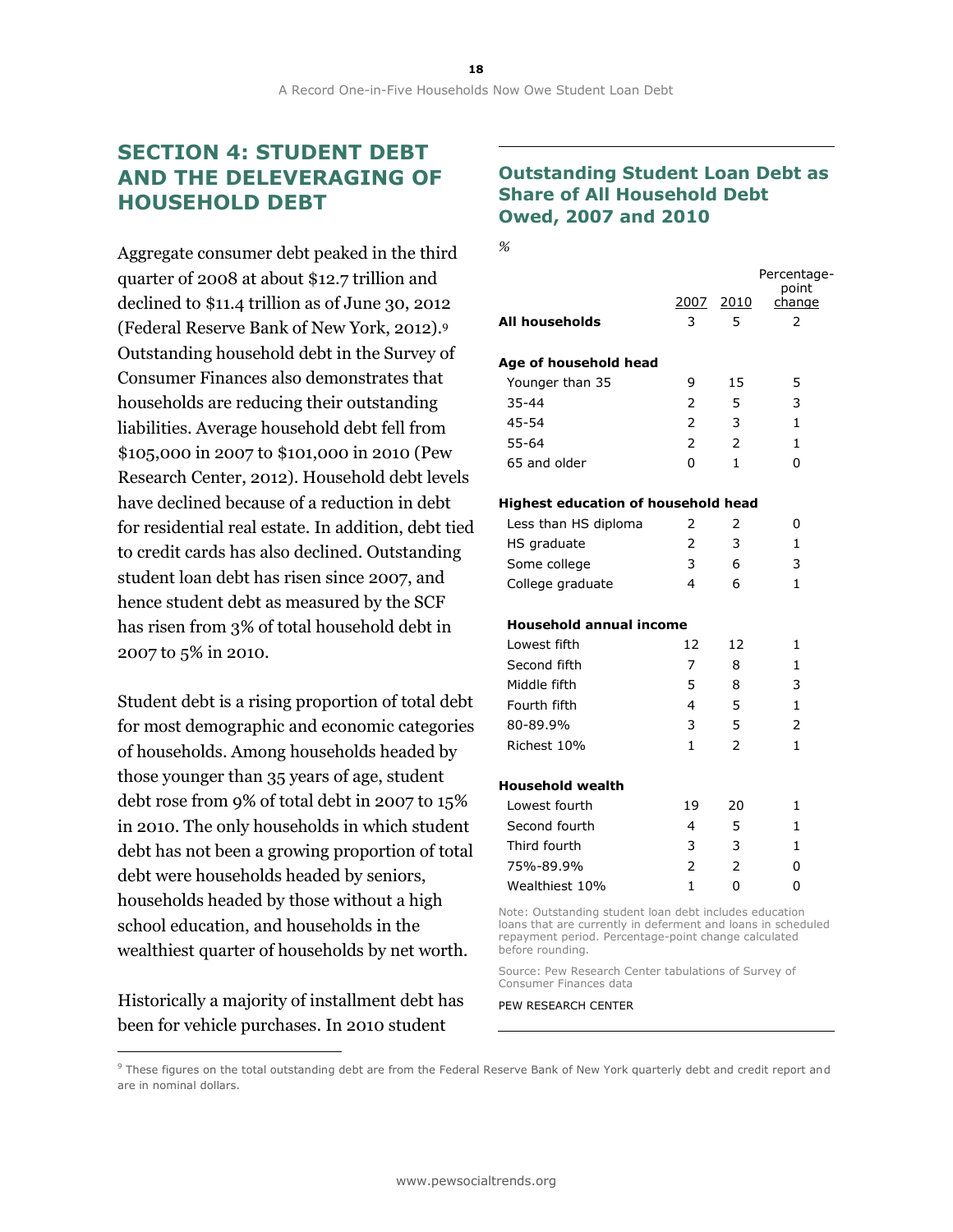## **SECTION 4: STUDENT DEBT AND THE DELEVERAGING OF HOUSEHOLD DEBT**

Aggregate consumer debt peaked in the third quarter of 2008 at about \$12.7 trillion and declined to \$11.4 trillion as of June 30, 2012 (Federal Reserve Bank of New York, 2012).<sup>9</sup> Outstanding household debt in the Survey of Consumer Finances also demonstrates that households are reducing their outstanding liabilities. Average household debt fell from \$105,000 in 2007 to \$101,000 in 2010 (Pew Research Center, 2012). Household debt levels have declined because of a reduction in debt for residential real estate. In addition, debt tied to credit cards has also declined. Outstanding student loan debt has risen since 2007, and hence student debt as measured by the SCF has risen from 3% of total household debt in 2007 to 5% in 2010.

Student debt is a rising proportion of total debt for most demographic and economic categories of households. Among households headed by those younger than 35 years of age, student debt rose from 9% of total debt in 2007 to 15% in 2010. The only households in which student debt has not been a growing proportion of total debt were households headed by seniors, households headed by those without a high school education, and households in the wealthiest quarter of households by net worth.

Historically a majority of installment debt has been for vehicle purchases. In 2010 student

 $\overline{a}$ 

## **Outstanding Student Loan Debt as Share of All Household Debt Owed, 2007 and 2010**

*%*

|                                                                                                                        | 2007           | 2010                     | Percentage-<br>point<br>change |
|------------------------------------------------------------------------------------------------------------------------|----------------|--------------------------|--------------------------------|
| All households                                                                                                         | 3              | 5                        | 2                              |
| Age of household head                                                                                                  |                |                          |                                |
| Younger than 35                                                                                                        | 9              | 15                       | 5                              |
| 35-44                                                                                                                  | 2              | 5                        | 3                              |
| 45-54                                                                                                                  | $\overline{2}$ | 3                        | 1                              |
| $55 - 64$                                                                                                              | $\overline{2}$ | $\overline{2}$           | 1                              |
| 65 and older                                                                                                           | 0              | 1                        | 0                              |
| Highest education of household head                                                                                    |                |                          |                                |
| Less than HS diploma                                                                                                   | 2              | 2                        | 0                              |
| HS graduate                                                                                                            | $\mathcal{P}$  | 3                        | 1                              |
| Some college                                                                                                           | 3              | 6                        | 3                              |
| College graduate                                                                                                       | 4              | 6                        | $\mathbf{1}$                   |
| <b>Household annual income</b>                                                                                         |                |                          |                                |
| Lowest fifth                                                                                                           | 12             | 12                       | 1                              |
| Second fifth                                                                                                           | 7              | 8                        | $\mathbf{1}$                   |
| Middle fifth                                                                                                           | 5              | 8                        | 3                              |
| Fourth fifth                                                                                                           | 4              | 5                        | $\mathbf{1}$                   |
| 80-89.9%                                                                                                               | 3              | 5                        | $\overline{2}$                 |
| Richest 10%                                                                                                            | 1              | $\overline{\phantom{0}}$ | 1                              |
| Household wealth                                                                                                       |                |                          |                                |
| Lowest fourth                                                                                                          | 19             | 20                       | 1                              |
| Second fourth                                                                                                          | 4              | 5                        | 1                              |
| Third fourth                                                                                                           | 3              | 3                        | 1                              |
| 75%-89.9%                                                                                                              | $\overline{2}$ | $\overline{2}$           | 0                              |
| Wealthiest 10%                                                                                                         | $\mathbf{1}$   | 0                        | 0                              |
| Note: Outstanding student loan debt includes education<br>loans that are currently in deferment and loans in scheduled |                |                          |                                |

loans that are currently in deferment and loans in scheduled repayment period. Percentage-point change calculated before rounding.

Source: Pew Research Center tabulations of Survey of Consumer Finances data

<sup>&</sup>lt;sup>9</sup> These figures on the total outstanding debt are from the Federal Reserve Bank of New York quarterly debt and credit report and are in nominal dollars.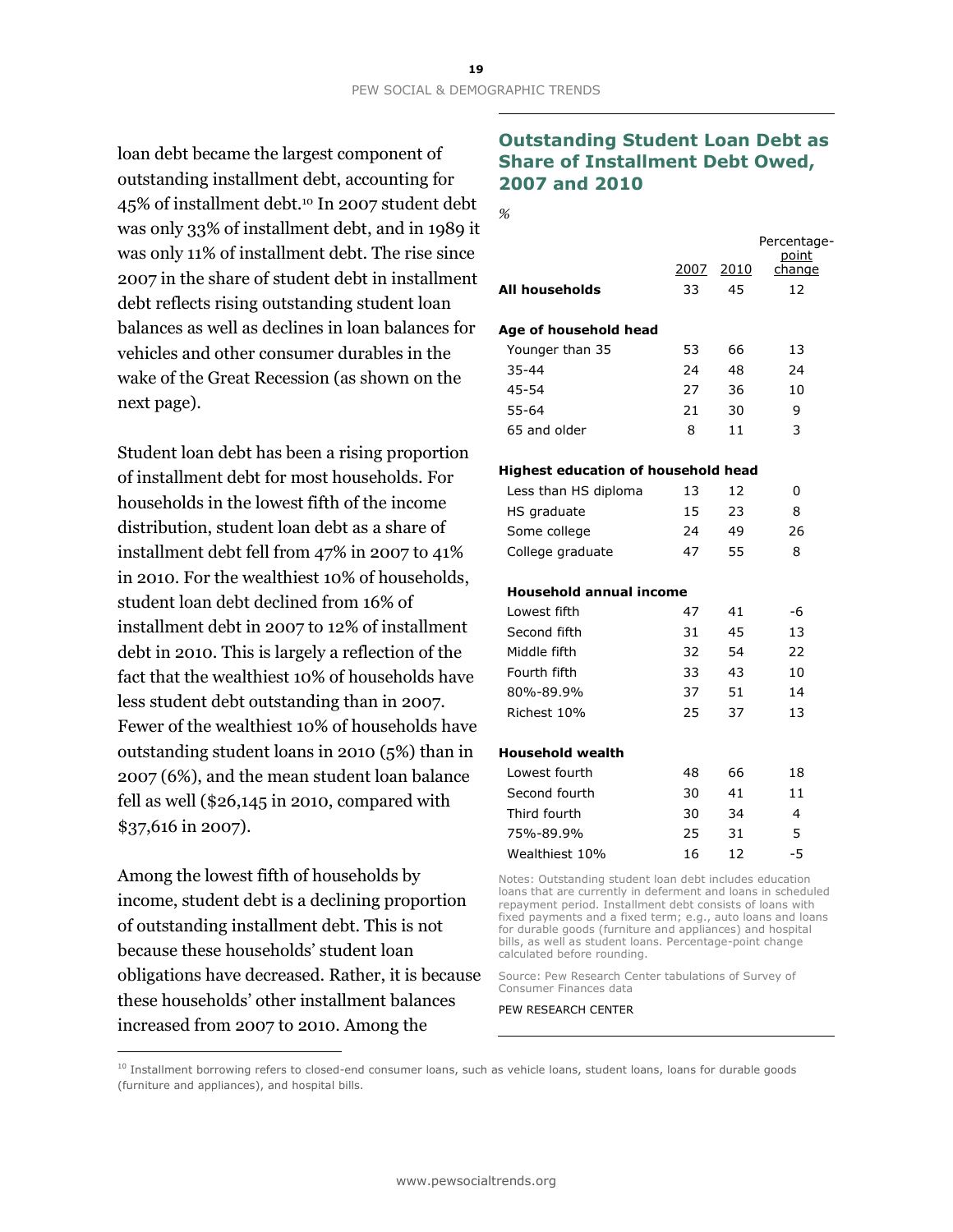loan debt became the largest component of outstanding installment debt, accounting for 45% of installment debt.<sup>10</sup> In 2007 student debt was only 33% of installment debt, and in 1989 it was only 11% of installment debt. The rise since 2007 in the share of student debt in installment debt reflects rising outstanding student loan balances as well as declines in loan balances for vehicles and other consumer durables in the wake of the Great Recession (as shown on the next page).

Student loan debt has been a rising proportion of installment debt for most households. For households in the lowest fifth of the income distribution, student loan debt as a share of installment debt fell from 47% in 2007 to 41% in 2010. For the wealthiest 10% of households, student loan debt declined from 16% of installment debt in 2007 to 12% of installment debt in 2010. This is largely a reflection of the fact that the wealthiest 10% of households have less student debt outstanding than in 2007. Fewer of the wealthiest 10% of households have outstanding student loans in 2010 (5%) than in 2007 (6%), and the mean student loan balance fell as well (\$26,145 in 2010, compared with \$37,616 in 2007).

Among the lowest fifth of households by income, student debt is a declining proportion of outstanding installment debt. This is not because these households' student loan obligations have decreased. Rather, it is because these households' other installment balances increased from 2007 to 2010. Among the

 $\overline{a}$ 

## **Outstanding Student Loan Debt as Share of Installment Debt Owed, 2007 and 2010**

|                                            | 2007 | 2010 | Percentage-<br>point<br>change |
|--------------------------------------------|------|------|--------------------------------|
| All households                             | 33   | 45   | 12                             |
|                                            |      |      |                                |
| Age of household head                      |      |      |                                |
| Younger than 35                            | 53   | 66   | 13                             |
| $35 - 44$                                  | 24   | 48   | 24                             |
| 45-54                                      | 27   | 36   | 10                             |
| 55-64                                      | 21   | 30   | 9                              |
| 65 and older                               | 8    | 11   | 3                              |
| <b>Highest education of household head</b> |      |      |                                |
| Less than HS diploma                       | 13   | 12   | 0                              |
| HS graduate                                | 15   | 23   | 8                              |
| Some college                               | 24   | 49   | 26                             |
| College graduate                           | 47   | 55   | 8                              |
| <b>Household annual income</b>             |      |      |                                |
| Lowest fifth                               | 47   | 41   | -6                             |
| Second fifth                               | 31   | 45   | 13                             |
| Middle fifth                               | 32   | 54   | 22                             |
| Fourth fifth                               | 33   | 43   | 10                             |
| 80%-89.9%                                  | 37   | 51   | 14                             |
| Richest 10%                                | 25   | 37   | 13                             |
| <b>Household wealth</b>                    |      |      |                                |
| Lowest fourth                              | 48   | 66   | 18                             |
| Second fourth                              | 30   | 41   | 11                             |
| Third fourth                               | 30   | 34   | 4                              |
| 75%-89.9%                                  | 25   | 31   | 5                              |
| Wealthiest 10%                             | 16   | 12   | -5                             |
|                                            |      |      |                                |

Notes: Outstanding student loan debt includes education loans that are currently in deferment and loans in scheduled repayment period. Installment debt consists of loans with fixed payments and a fixed term; e.g., auto loans and loans for durable goods (furniture and appliances) and hospital bills, as well as student loans. Percentage-point change calculated before rounding.

Source: Pew Research Center tabulations of Survey of Consumer Finances data

PEW RESEARCH CENTER

<sup>10</sup> Installment borrowing refers to closed-end consumer loans, such as vehicle loans, student loans, loans for durable goods (furniture and appliances), and hospital bills.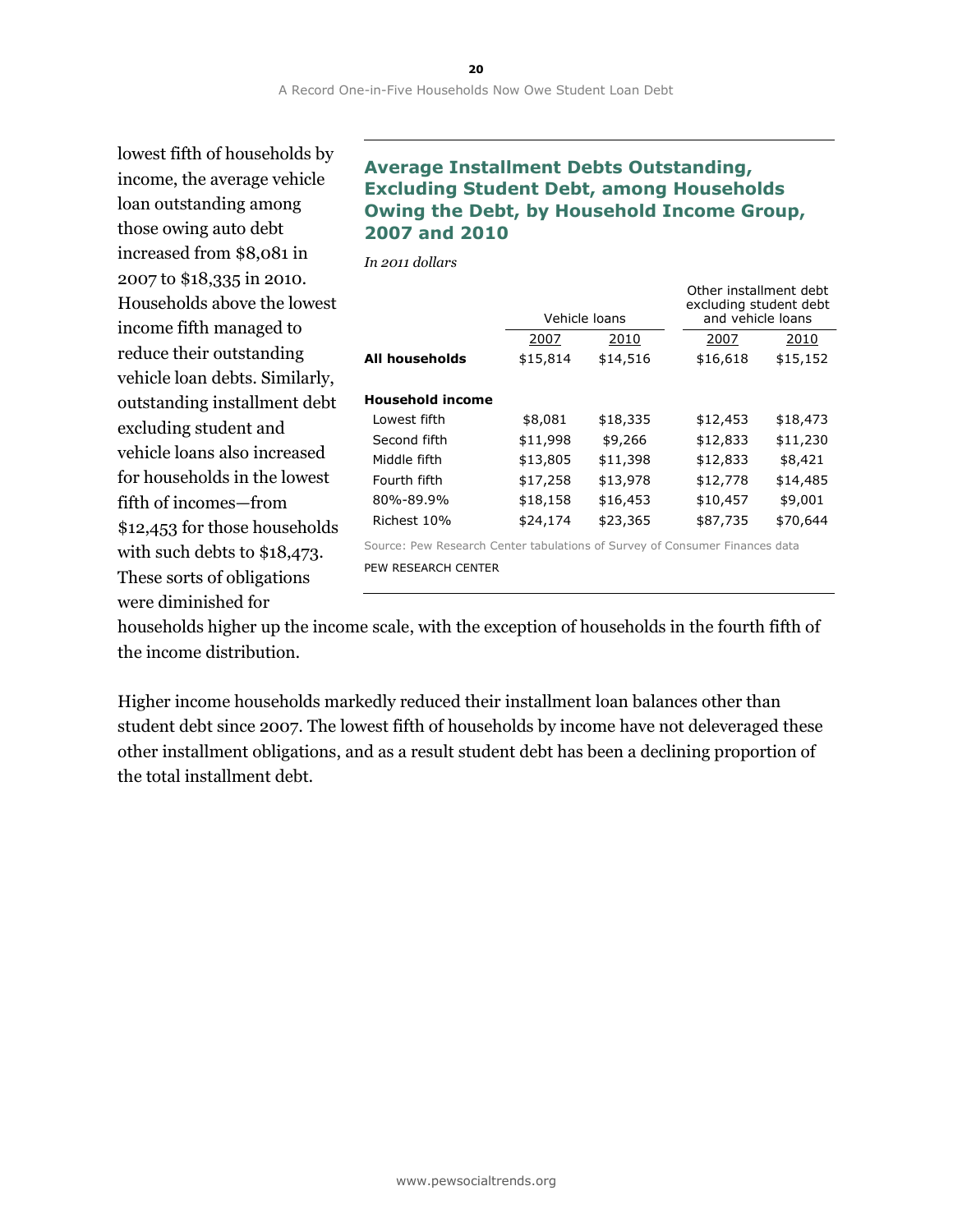lowest fifth of households by income, the average vehicle loan outstanding among those owing auto debt increased from \$8,081 in 2007 to \$18,335 in 2010. Households above the lowest income fifth managed to reduce their outstanding vehicle loan debts. Similarly, outstanding installment debt excluding student and vehicle loans also increased for households in the lowest fifth of incomes—from \$12,453 for those households with such debts to \$18,473. These sorts of obligations were diminished for

## **Average Installment Debts Outstanding, Excluding Student Debt, among Households Owing the Debt, by Household Income Group, 2007 and 2010**

*In 2011 dollars*

|                         | Vehicle loans |          | Other installment debt<br>excluding student debt<br>and vehicle loans |          |
|-------------------------|---------------|----------|-----------------------------------------------------------------------|----------|
|                         | 2007          | 2010     | 2007                                                                  | 2010     |
| <b>All households</b>   | \$15,814      | \$14,516 | \$16,618                                                              | \$15,152 |
| <b>Household income</b> |               |          |                                                                       |          |
| Lowest fifth            | \$8,081       | \$18,335 | \$12,453                                                              | \$18,473 |
| Second fifth            | \$11,998      | \$9,266  | \$12,833                                                              | \$11,230 |
| Middle fifth            | \$13,805      | \$11,398 | \$12,833                                                              | \$8,421  |
| Fourth fifth            | \$17,258      | \$13,978 | \$12,778                                                              | \$14,485 |
| 80%-89.9%               | \$18,158      | \$16,453 | \$10,457                                                              | \$9,001  |
| Richest 10%             | \$24,174      | \$23,365 | \$87,735                                                              | \$70,644 |

Source: Pew Research Center tabulations of Survey of Consumer Finances data PEW RESEARCH CENTER

households higher up the income scale, with the exception of households in the fourth fifth of the income distribution.

Higher income households markedly reduced their installment loan balances other than student debt since 2007. The lowest fifth of households by income have not deleveraged these other installment obligations, and as a result student debt has been a declining proportion of the total installment debt.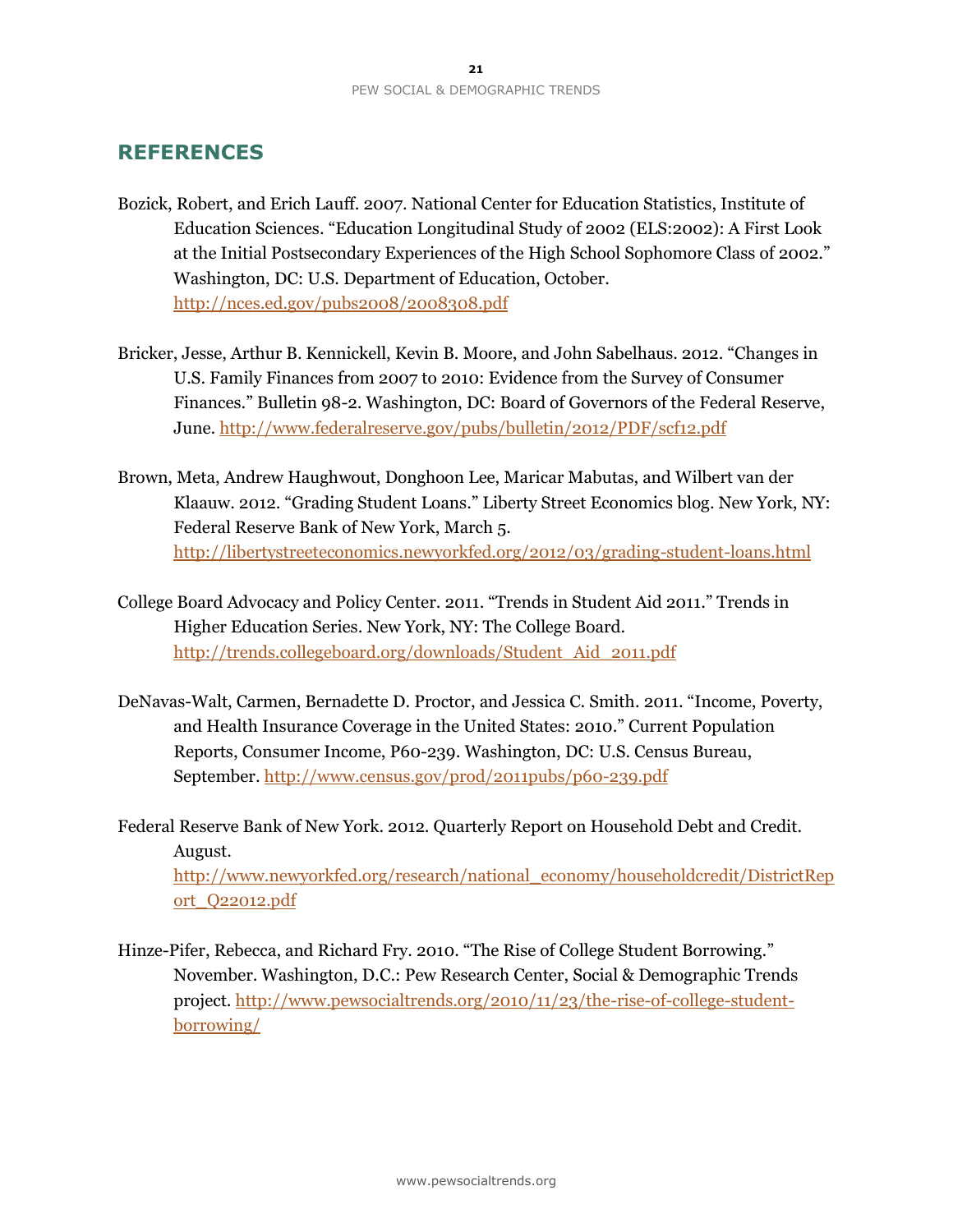## **REFERENCES**

- Bozick, Robert, and Erich Lauff. 2007. National Center for Education Statistics, Institute of Education Sciences. "Education Longitudinal Study of 2002 (ELS:2002): A First Look at the Initial Postsecondary Experiences of the High School Sophomore Class of 2002." Washington, DC: U.S. Department of Education, October. <http://nces.ed.gov/pubs2008/2008308.pdf>
- Bricker, Jesse, Arthur B. Kennickell, Kevin B. Moore, and John Sabelhaus. 2012. "Changes in U.S. Family Finances from 2007 to 2010: Evidence from the Survey of Consumer Finances." Bulletin 98-2. Washington, DC: Board of Governors of the Federal Reserve, June.<http://www.federalreserve.gov/pubs/bulletin/2012/PDF/scf12.pdf>
- Brown, Meta, Andrew Haughwout, Donghoon Lee, Maricar Mabutas, and Wilbert van der Klaauw. 2012. "Grading Student Loans." Liberty Street Economics blog. New York, NY: Federal Reserve Bank of New York, March 5. <http://libertystreeteconomics.newyorkfed.org/2012/03/grading-student-loans.html>
- College Board Advocacy and Policy Center. 2011. "Trends in Student Aid 2011." Trends in Higher Education Series. New York, NY: The College Board. [http://trends.collegeboard.org/downloads/Student\\_Aid\\_2011.pdf](http://trends.collegeboard.org/downloads/Student_Aid_2011.pdf)
- DeNavas-Walt, Carmen, Bernadette D. Proctor, and Jessica C. Smith. 2011. "Income, Poverty, and Health Insurance Coverage in the United States: 2010." Current Population Reports, Consumer Income, P60-239. Washington, DC: U.S. Census Bureau, September. <http://www.census.gov/prod/2011pubs/p60-239.pdf>
- Federal Reserve Bank of New York. 2012. Quarterly Report on Household Debt and Credit. August. [http://www.newyorkfed.org/research/national\\_economy/householdcredit/DistrictRep](http://www.newyorkfed.org/research/national_economy/householdcredit/DistrictReport_Q22012.pdf) [ort\\_Q22012.pdf](http://www.newyorkfed.org/research/national_economy/householdcredit/DistrictReport_Q22012.pdf)
- Hinze-Pifer, Rebecca, and Richard Fry. 2010. "The Rise of College Student Borrowing." November. Washington, D.C.: Pew Research Center, Social & Demographic Trends project. [http://www.pewsocialtrends.org/2010/11/23/the-rise-of-college-student](http://www.pewsocialtrends.org/2010/11/23/the-rise-of-college-student-borrowing/)[borrowing/](http://www.pewsocialtrends.org/2010/11/23/the-rise-of-college-student-borrowing/)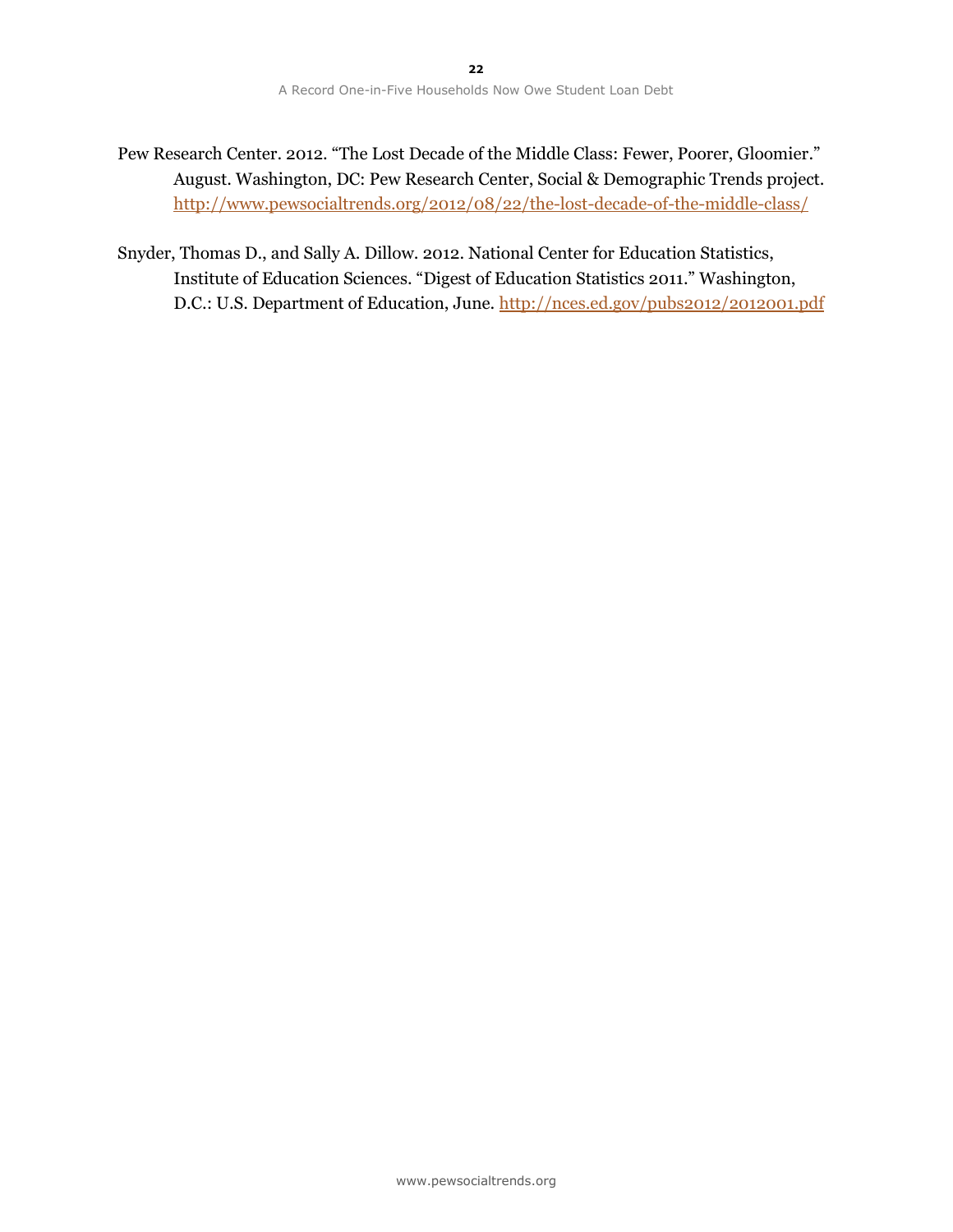- Pew Research Center. 2012. "The Lost Decade of the Middle Class: Fewer, Poorer, Gloomier." August. Washington, DC: Pew Research Center, Social & Demographic Trends project. <http://www.pewsocialtrends.org/2012/08/22/the-lost-decade-of-the-middle-class/>
- Snyder, Thomas D., and Sally A. Dillow. 2012. National Center for Education Statistics, Institute of Education Sciences. "Digest of Education Statistics 2011." Washington, D.C.: U.S. Department of Education, June[. http://nces.ed.gov/pubs2012/2012001.pdf](http://nces.ed.gov/pubs2012/2012001.pdf)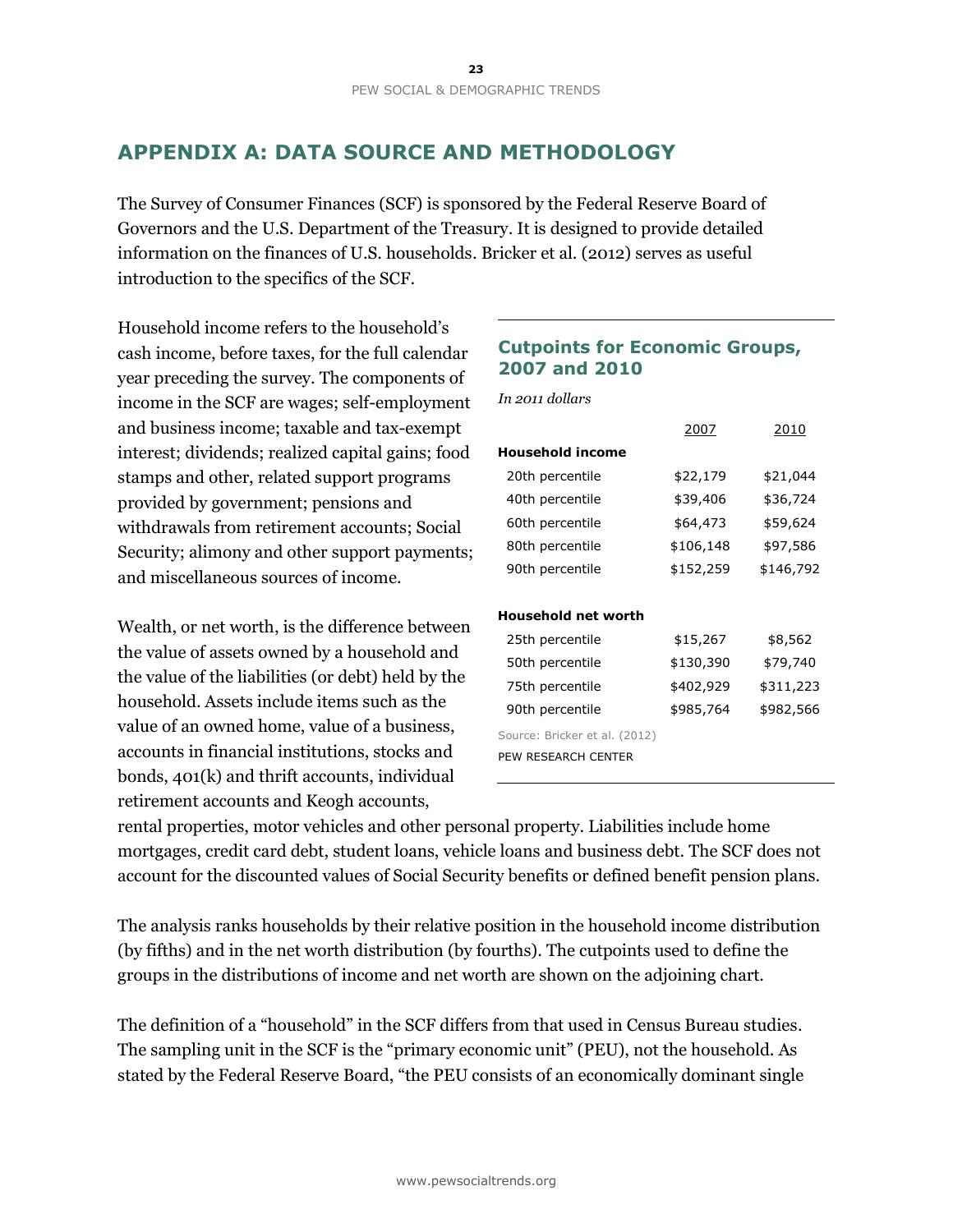## **APPENDIX A: DATA SOURCE AND METHODOLOGY**

The Survey of Consumer Finances (SCF) is sponsored by the Federal Reserve Board of Governors and the U.S. Department of the Treasury. It is designed to provide detailed information on the finances of U.S. households. Bricker et al. (2012) serves as useful introduction to the specifics of the SCF.

Household income refers to the household's cash income, before taxes, for the full calendar year preceding the survey. The components of income in the SCF are wages; self-employment and business income; taxable and tax-exempt interest; dividends; realized capital gains; food stamps and other, related support programs provided by government; pensions and withdrawals from retirement accounts; Social Security; alimony and other support payments; and miscellaneous sources of income.

Wealth, or net worth, is the difference between the value of assets owned by a household and the value of the liabilities (or debt) held by the household. Assets include items such as the value of an owned home, value of a business, accounts in financial institutions, stocks and bonds, 401(k) and thrift accounts, individual retirement accounts and Keogh accounts,

## **Cutpoints for Economic Groups, 2007 and 2010**

*In 2011 dollars*

|                               | 2007<br>2010 |           |
|-------------------------------|--------------|-----------|
| <b>Household income</b>       |              |           |
| 20th percentile               | \$22,179     | \$21,044  |
| 40th percentile               | \$39,406     | \$36,724  |
| 60th percentile               | \$64,473     | \$59,624  |
| 80th percentile               | \$106,148    | \$97,586  |
| 90th percentile               | \$152,259    | \$146,792 |
|                               |              |           |
| <b>Household net worth</b>    |              |           |
| 25th percentile               | \$15,267     | \$8,562   |
| 50th percentile               | \$130,390    | \$79,740  |
| 75th percentile               | \$402,929    | \$311,223 |
| 90th percentile               | \$985,764    | \$982,566 |
| Source: Bricker et al. (2012) |              |           |
| PEW RESEARCH CENTER           |              |           |
|                               |              |           |

rental properties, motor vehicles and other personal property. Liabilities include home mortgages, credit card debt, student loans, vehicle loans and business debt. The SCF does not account for the discounted values of Social Security benefits or defined benefit pension plans.

The analysis ranks households by their relative position in the household income distribution (by fifths) and in the net worth distribution (by fourths). The cutpoints used to define the groups in the distributions of income and net worth are shown on the adjoining chart.

The definition of a "household" in the SCF differs from that used in Census Bureau studies. The sampling unit in the SCF is the "primary economic unit" (PEU), not the household. As stated by the Federal Reserve Board, "the PEU consists of an economically dominant single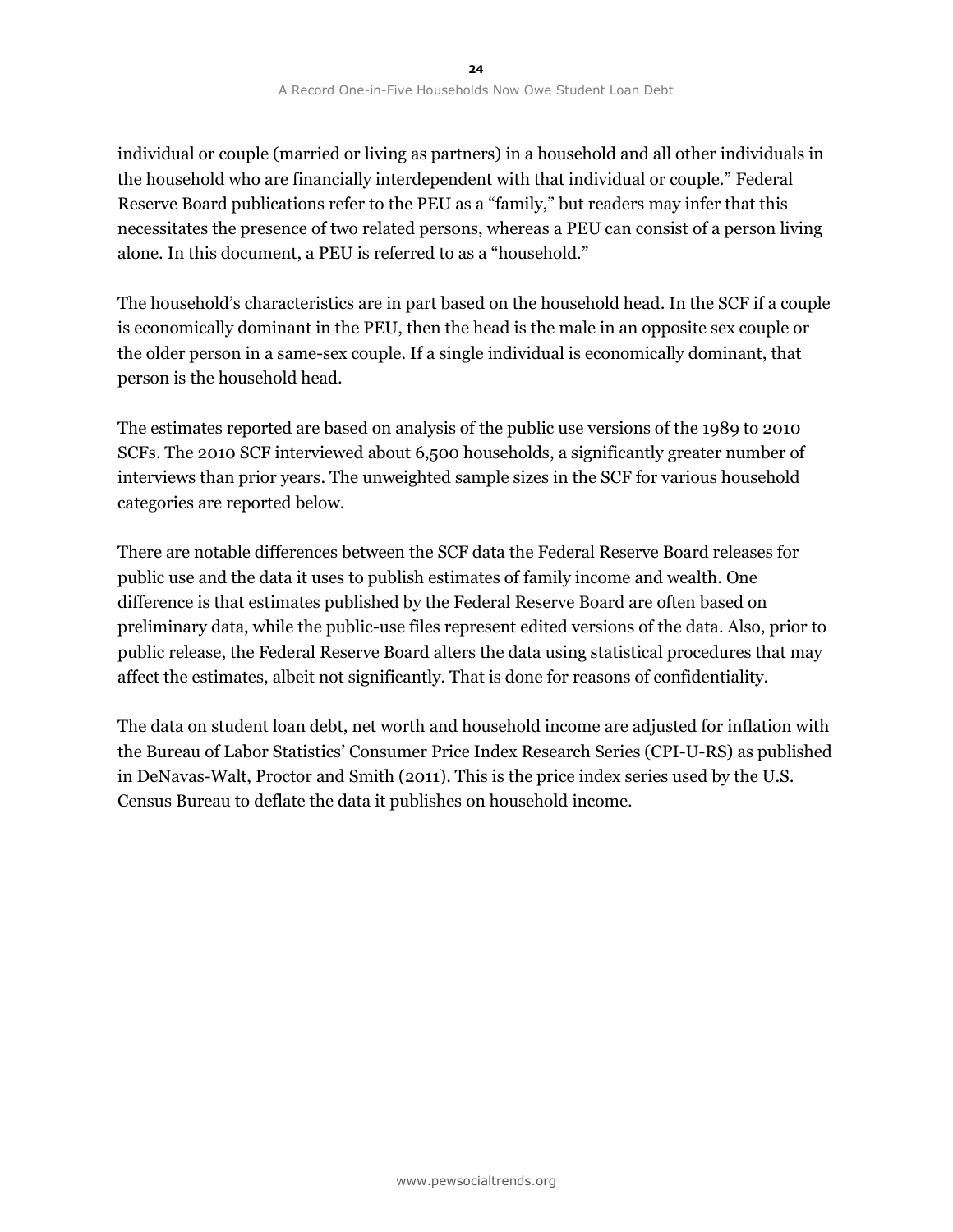individual or couple (married or living as partners) in a household and all other individuals in the household who are financially interdependent with that individual or couple." Federal Reserve Board publications refer to the PEU as a "family," but readers may infer that this necessitates the presence of two related persons, whereas a PEU can consist of a person living alone. In this document, a PEU is referred to as a "household."

The household's characteristics are in part based on the household head. In the SCF if a couple is economically dominant in the PEU, then the head is the male in an opposite sex couple or the older person in a same-sex couple. If a single individual is economically dominant, that person is the household head.

The estimates reported are based on analysis of the public use versions of the 1989 to 2010 SCFs. The 2010 SCF interviewed about 6,500 households, a significantly greater number of interviews than prior years. The unweighted sample sizes in the SCF for various household categories are reported below.

There are notable differences between the SCF data the Federal Reserve Board releases for public use and the data it uses to publish estimates of family income and wealth. One difference is that estimates published by the Federal Reserve Board are often based on preliminary data, while the public-use files represent edited versions of the data. Also, prior to public release, the Federal Reserve Board alters the data using statistical procedures that may affect the estimates, albeit not significantly. That is done for reasons of confidentiality.

The data on student loan debt, net worth and household income are adjusted for inflation with the Bureau of Labor Statistics' Consumer Price Index Research Series (CPI-U-RS) as published in DeNavas-Walt, Proctor and Smith (2011). This is the price index series used by the U.S. Census Bureau to deflate the data it publishes on household income.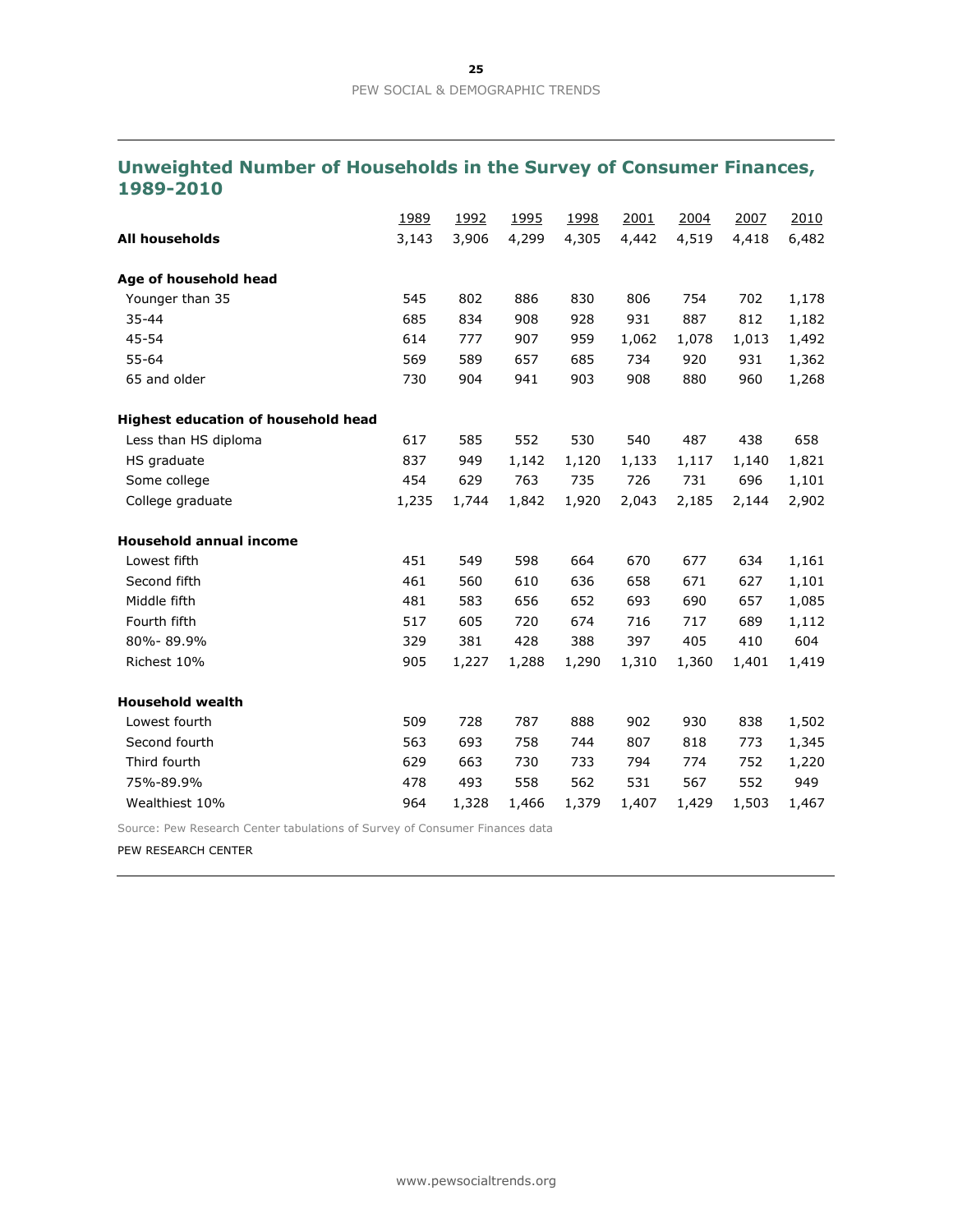## **Unweighted Number of Households in the Survey of Consumer Finances, 1989-2010**

|                                     | 1989  | 1992  | 1995  | 1998  | 2001  | 2004  | 2007  | 2010  |
|-------------------------------------|-------|-------|-------|-------|-------|-------|-------|-------|
| <b>All households</b>               | 3,143 | 3,906 | 4,299 | 4,305 | 4,442 | 4,519 | 4,418 | 6,482 |
| Age of household head               |       |       |       |       |       |       |       |       |
| Younger than 35                     | 545   | 802   | 886   | 830   | 806   | 754   | 702   | 1,178 |
| 35-44                               | 685   | 834   | 908   | 928   | 931   | 887   | 812   | 1,182 |
| 45-54                               | 614   | 777   | 907   | 959   | 1,062 | 1,078 | 1,013 | 1,492 |
| $55 - 64$                           | 569   | 589   | 657   | 685   | 734   | 920   | 931   | 1,362 |
| 65 and older                        | 730   | 904   | 941   | 903   | 908   | 880   | 960   | 1,268 |
| Highest education of household head |       |       |       |       |       |       |       |       |
| Less than HS diploma                | 617   | 585   | 552   | 530   | 540   | 487   | 438   | 658   |
| HS graduate                         | 837   | 949   | 1,142 | 1,120 | 1,133 | 1,117 | 1,140 | 1,821 |
| Some college                        | 454   | 629   | 763   | 735   | 726   | 731   | 696   | 1,101 |
| College graduate                    | 1,235 | 1,744 | 1,842 | 1,920 | 2,043 | 2,185 | 2,144 | 2,902 |
| <b>Household annual income</b>      |       |       |       |       |       |       |       |       |
| Lowest fifth                        | 451   | 549   | 598   | 664   | 670   | 677   | 634   | 1,161 |
| Second fifth                        | 461   | 560   | 610   | 636   | 658   | 671   | 627   | 1,101 |
| Middle fifth                        | 481   | 583   | 656   | 652   | 693   | 690   | 657   | 1,085 |
| Fourth fifth                        | 517   | 605   | 720   | 674   | 716   | 717   | 689   | 1,112 |
| 80%-89.9%                           | 329   | 381   | 428   | 388   | 397   | 405   | 410   | 604   |
| Richest 10%                         | 905   | 1,227 | 1,288 | 1,290 | 1,310 | 1,360 | 1,401 | 1,419 |
| <b>Household wealth</b>             |       |       |       |       |       |       |       |       |
| Lowest fourth                       | 509   | 728   | 787   | 888   | 902   | 930   | 838   | 1,502 |
| Second fourth                       | 563   | 693   | 758   | 744   | 807   | 818   | 773   | 1,345 |
| Third fourth                        | 629   | 663   | 730   | 733   | 794   | 774   | 752   | 1,220 |
| 75%-89.9%                           | 478   | 493   | 558   | 562   | 531   | 567   | 552   | 949   |
| Wealthiest 10%                      | 964   | 1,328 | 1,466 | 1,379 | 1,407 | 1,429 | 1,503 | 1,467 |

Source: Pew Research Center tabulations of Survey of Consumer Finances data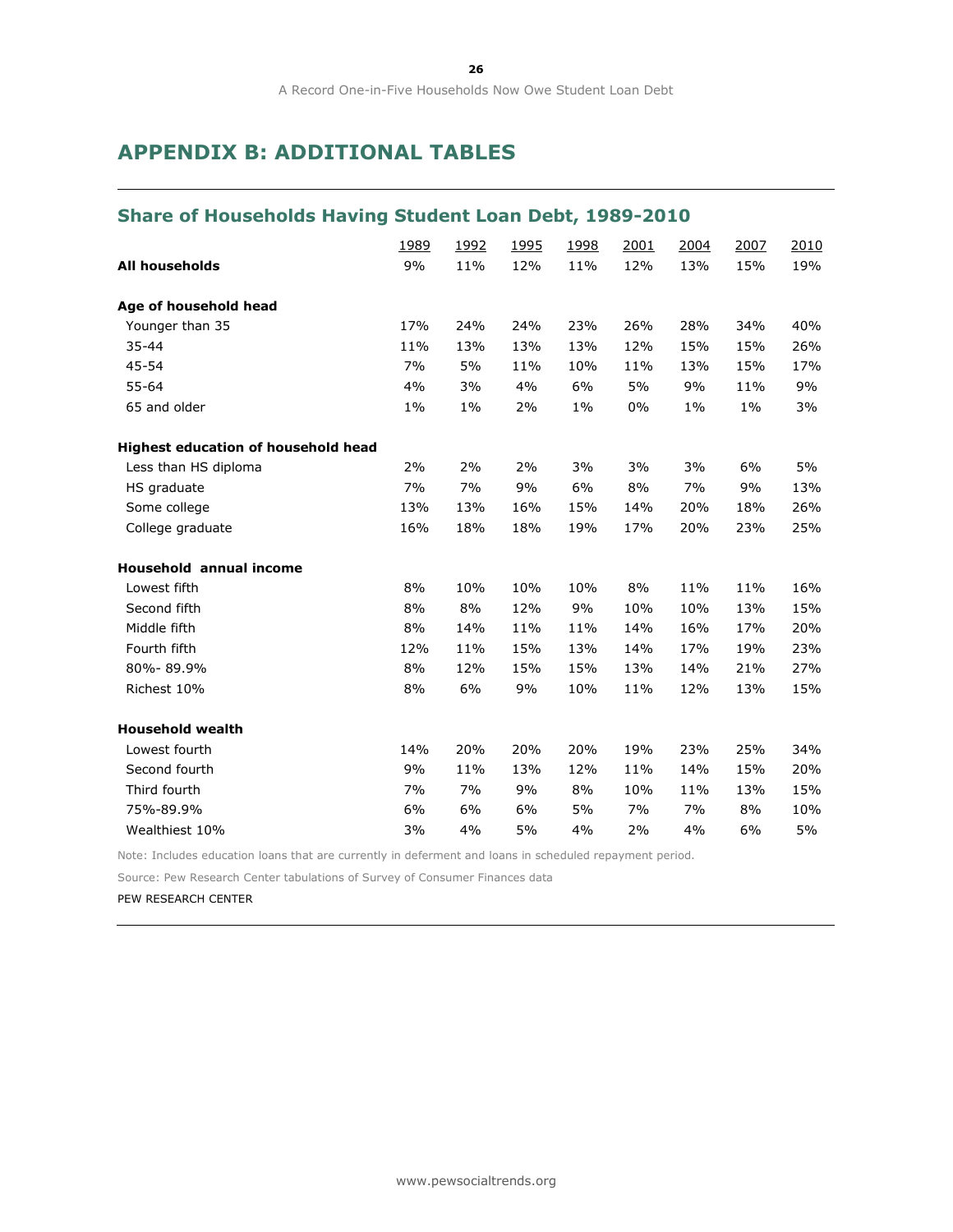## **APPENDIX B: ADDITIONAL TABLES**

## **Share of Households Having Student Loan Debt, 1989-2010**

|                                     | <u>1989</u> | 1992  | <u>1995</u> | 1998  | 2001  | 2004  | 2007  | 2010 |
|-------------------------------------|-------------|-------|-------------|-------|-------|-------|-------|------|
| <b>All households</b>               | 9%          | 11%   | 12%         | 11%   | 12%   | 13%   | 15%   | 19%  |
| Age of household head               |             |       |             |       |       |       |       |      |
| Younger than 35                     | 17%         | 24%   | 24%         | 23%   | 26%   | 28%   | 34%   | 40%  |
| 35-44                               | 11%         | 13%   | 13%         | 13%   | 12%   | 15%   | 15%   | 26%  |
| 45-54                               | 7%          | 5%    | 11%         | 10%   | 11%   | 13%   | 15%   | 17%  |
| 55-64                               | 4%          | 3%    | 4%          | 6%    | 5%    | 9%    | 11%   | 9%   |
| 65 and older                        | $1\%$       | $1\%$ | 2%          | $1\%$ | $0\%$ | $1\%$ | $1\%$ | 3%   |
| Highest education of household head |             |       |             |       |       |       |       |      |
| Less than HS diploma                | 2%          | 2%    | 2%          | 3%    | 3%    | 3%    | 6%    | 5%   |
| HS graduate                         | 7%          | 7%    | 9%          | 6%    | 8%    | 7%    | 9%    | 13%  |
| Some college                        | 13%         | 13%   | 16%         | 15%   | 14%   | 20%   | 18%   | 26%  |
| College graduate                    | 16%         | 18%   | 18%         | 19%   | 17%   | 20%   | 23%   | 25%  |
| <b>Household annual income</b>      |             |       |             |       |       |       |       |      |
| Lowest fifth                        | 8%          | 10%   | 10%         | 10%   | 8%    | 11%   | 11%   | 16%  |
| Second fifth                        | 8%          | 8%    | 12%         | 9%    | 10%   | 10%   | 13%   | 15%  |
| Middle fifth                        | 8%          | 14%   | 11%         | 11%   | 14%   | 16%   | 17%   | 20%  |
| Fourth fifth                        | 12%         | 11%   | 15%         | 13%   | 14%   | 17%   | 19%   | 23%  |
| 80%-89.9%                           | 8%          | 12%   | 15%         | 15%   | 13%   | 14%   | 21%   | 27%  |
| Richest 10%                         | 8%          | 6%    | 9%          | 10%   | 11%   | 12%   | 13%   | 15%  |
| <b>Household wealth</b>             |             |       |             |       |       |       |       |      |
| Lowest fourth                       | 14%         | 20%   | 20%         | 20%   | 19%   | 23%   | 25%   | 34%  |
| Second fourth                       | 9%          | 11%   | 13%         | 12%   | 11%   | 14%   | 15%   | 20%  |
| Third fourth                        | 7%          | 7%    | 9%          | 8%    | 10%   | 11%   | 13%   | 15%  |
| 75%-89.9%                           | 6%          | 6%    | 6%          | 5%    | 7%    | 7%    | 8%    | 10%  |
| Wealthiest 10%                      | 3%          | 4%    | 5%          | 4%    | 2%    | 4%    | 6%    | 5%   |

Note: Includes education loans that are currently in deferment and loans in scheduled repayment period.

Source: Pew Research Center tabulations of Survey of Consumer Finances data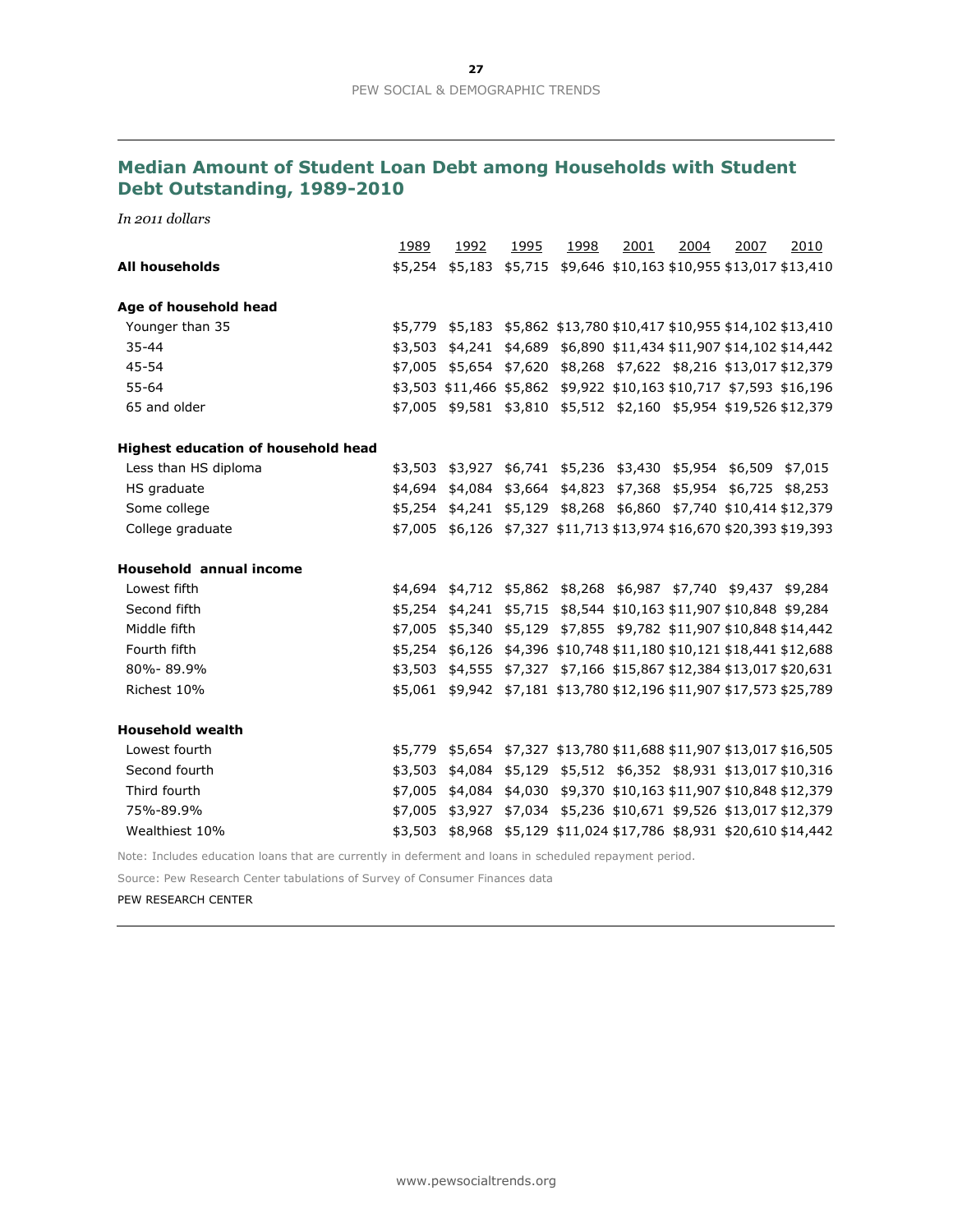## **Median Amount of Student Loan Debt among Households with Student Debt Outstanding, 1989-2010**

*In 2011 dollars*

|                                            | 1989    | 1992                                                                 | 1995 | 1998                                                       | 2001 | 2004 | 2007 | 2010    |
|--------------------------------------------|---------|----------------------------------------------------------------------|------|------------------------------------------------------------|------|------|------|---------|
| <b>All households</b>                      | \$5,254 | \$5,183                                                              |      | \$5,715 \$9,646 \$10,163 \$10,955 \$13,017 \$13,410        |      |      |      |         |
|                                            |         |                                                                      |      |                                                            |      |      |      |         |
| Age of household head                      |         |                                                                      |      |                                                            |      |      |      |         |
| Younger than 35                            |         | \$5,779 \$5,183 \$5,862 \$13,780 \$10,417 \$10,955 \$14,102 \$13,410 |      |                                                            |      |      |      |         |
| $35 - 44$                                  |         | \$3,503 \$4,241 \$4,689 \$6,890 \$11,434 \$11,907 \$14,102 \$14,442  |      |                                                            |      |      |      |         |
| 45-54                                      |         | \$7,005 \$5,654 \$7,620 \$8,268 \$7,622 \$8,216 \$13,017 \$12,379    |      |                                                            |      |      |      |         |
| $55 - 64$                                  |         | \$3,503 \$11,466 \$5,862 \$9,922 \$10,163 \$10,717 \$7,593 \$16,196  |      |                                                            |      |      |      |         |
| 65 and older                               |         | \$7,005 \$9,581 \$3,810 \$5,512 \$2,160 \$5,954 \$19,526 \$12,379    |      |                                                            |      |      |      |         |
| <b>Highest education of household head</b> |         |                                                                      |      |                                                            |      |      |      |         |
| Less than HS diploma                       |         | \$3,503 \$3,927 \$6,741 \$5,236 \$3,430 \$5,954 \$6,509              |      |                                                            |      |      |      | \$7,015 |
| HS graduate                                |         | \$4,694 \$4,084 \$3,664 \$4,823 \$7,368 \$5,954 \$6,725 \$8,253      |      |                                                            |      |      |      |         |
| Some college                               |         | \$5,254 \$4,241 \$5,129 \$8,268 \$6,860 \$7,740 \$10,414 \$12,379    |      |                                                            |      |      |      |         |
| College graduate                           |         | \$7,005 \$6,126 \$7,327 \$11,713 \$13,974 \$16,670 \$20,393 \$19,393 |      |                                                            |      |      |      |         |
| <b>Household annual income</b>             |         |                                                                      |      |                                                            |      |      |      |         |
| Lowest fifth                               |         | \$4,694 \$4,712 \$5,862 \$8,268 \$6,987 \$7,740 \$9,437 \$9,284      |      |                                                            |      |      |      |         |
| Second fifth                               |         | \$5,254 \$4,241 \$5,715 \$8,544 \$10,163 \$11,907 \$10,848 \$9,284   |      |                                                            |      |      |      |         |
| Middle fifth                               | \$7,005 |                                                                      |      | \$5,340 \$5,129 \$7,855 \$9,782 \$11,907 \$10,848 \$14,442 |      |      |      |         |
| Fourth fifth                               |         | \$5,254 \$6,126 \$4,396 \$10,748 \$11,180 \$10,121 \$18,441 \$12,688 |      |                                                            |      |      |      |         |
| 80%-89.9%                                  |         | \$3,503 \$4,555 \$7,327 \$7,166 \$15,867 \$12,384 \$13,017 \$20,631  |      |                                                            |      |      |      |         |
| Richest 10%                                |         | \$5,061 \$9,942 \$7,181 \$13,780 \$12,196 \$11,907 \$17,573 \$25,789 |      |                                                            |      |      |      |         |
| <b>Household wealth</b>                    |         |                                                                      |      |                                                            |      |      |      |         |
| Lowest fourth                              |         | \$5,779 \$5,654 \$7,327 \$13,780 \$11,688 \$11,907 \$13,017 \$16,505 |      |                                                            |      |      |      |         |
| Second fourth                              |         | \$3,503 \$4,084 \$5,129 \$5,512 \$6,352 \$8,931 \$13,017 \$10,316    |      |                                                            |      |      |      |         |
| Third fourth                               | \$7,005 | \$4,084                                                              |      | \$4,030 \$9,370 \$10,163 \$11,907 \$10,848 \$12,379        |      |      |      |         |
| 75%-89.9%                                  |         | \$7,005 \$3,927 \$7,034 \$5,236 \$10,671 \$9,526 \$13,017 \$12,379   |      |                                                            |      |      |      |         |
| Wealthiest 10%                             |         | \$3,503 \$8,968 \$5,129 \$11,024 \$17,786 \$8,931 \$20,610 \$14,442  |      |                                                            |      |      |      |         |
|                                            |         |                                                                      |      |                                                            |      |      |      |         |

Note: Includes education loans that are currently in deferment and loans in scheduled repayment period.

Source: Pew Research Center tabulations of Survey of Consumer Finances data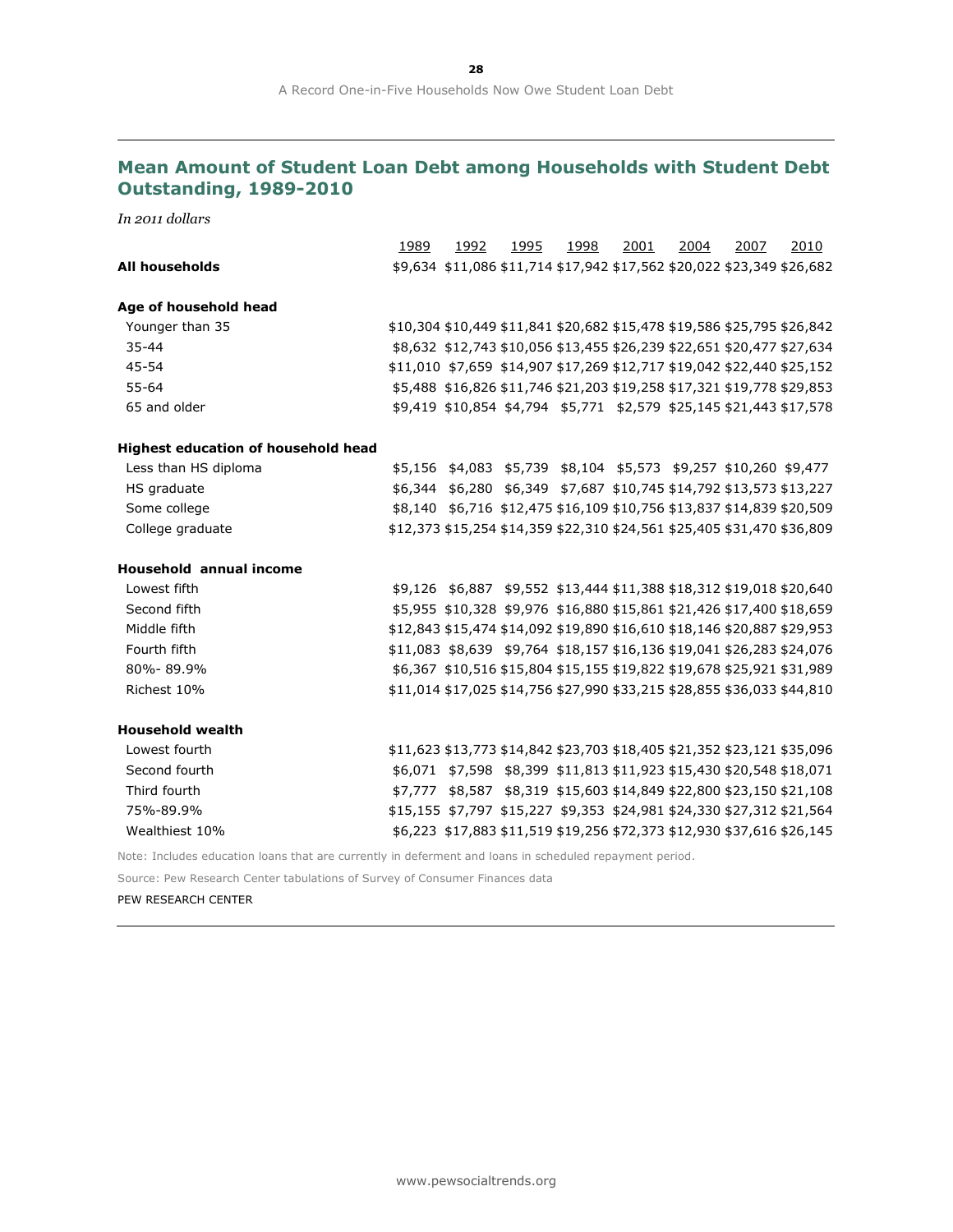## **Mean Amount of Student Loan Debt among Households with Student Debt Outstanding, 1989-2010**

*In 2011 dollars*

|                                                                                                         | 1989 | 1992 | 1995 | 1998                                                             | 2001 | 2004 | 2007 | 2010                                                                    |
|---------------------------------------------------------------------------------------------------------|------|------|------|------------------------------------------------------------------|------|------|------|-------------------------------------------------------------------------|
| All households                                                                                          |      |      |      |                                                                  |      |      |      | \$9,634 \$11,086 \$11,714 \$17,942 \$17,562 \$20,022 \$23,349 \$26,682  |
|                                                                                                         |      |      |      |                                                                  |      |      |      |                                                                         |
| Age of household head                                                                                   |      |      |      |                                                                  |      |      |      |                                                                         |
| Younger than 35                                                                                         |      |      |      |                                                                  |      |      |      | \$10,304 \$10,449 \$11,841 \$20,682 \$15,478 \$19,586 \$25,795 \$26,842 |
| $35 - 44$                                                                                               |      |      |      |                                                                  |      |      |      | \$8,632 \$12,743 \$10,056 \$13,455 \$26,239 \$22,651 \$20,477 \$27,634  |
| 45-54                                                                                                   |      |      |      |                                                                  |      |      |      | \$11,010 \$7,659 \$14,907 \$17,269 \$12,717 \$19,042 \$22,440 \$25,152  |
| $55 - 64$                                                                                               |      |      |      |                                                                  |      |      |      | \$5,488 \$16,826 \$11,746 \$21,203 \$19,258 \$17,321 \$19,778 \$29,853  |
| 65 and older                                                                                            |      |      |      |                                                                  |      |      |      | \$9,419 \$10,854 \$4,794 \$5,771 \$2,579 \$25,145 \$21,443 \$17,578     |
| Highest education of household head                                                                     |      |      |      |                                                                  |      |      |      |                                                                         |
| Less than HS diploma                                                                                    |      |      |      | \$5,156 \$4,083 \$5,739 \$8,104 \$5,573 \$9,257 \$10,260 \$9,477 |      |      |      |                                                                         |
| HS graduate                                                                                             |      |      |      |                                                                  |      |      |      | \$6,344 \$6,280 \$6,349 \$7,687 \$10,745 \$14,792 \$13,573 \$13,227     |
| Some college                                                                                            |      |      |      |                                                                  |      |      |      | \$8,140 \$6,716 \$12,475 \$16,109 \$10,756 \$13,837 \$14,839 \$20,509   |
| College graduate                                                                                        |      |      |      |                                                                  |      |      |      | \$12,373 \$15,254 \$14,359 \$22,310 \$24,561 \$25,405 \$31,470 \$36,809 |
| <b>Household annual income</b>                                                                          |      |      |      |                                                                  |      |      |      |                                                                         |
| Lowest fifth                                                                                            |      |      |      |                                                                  |      |      |      | \$9,126 \$6,887 \$9,552 \$13,444 \$11,388 \$18,312 \$19,018 \$20,640    |
| Second fifth                                                                                            |      |      |      |                                                                  |      |      |      | \$5,955 \$10,328 \$9,976 \$16,880 \$15,861 \$21,426 \$17,400 \$18,659   |
| Middle fifth                                                                                            |      |      |      |                                                                  |      |      |      | \$12,843 \$15,474 \$14,092 \$19,890 \$16,610 \$18,146 \$20,887 \$29,953 |
| Fourth fifth                                                                                            |      |      |      |                                                                  |      |      |      | \$11,083 \$8,639 \$9,764 \$18,157 \$16,136 \$19,041 \$26,283 \$24,076   |
| 80%-89.9%                                                                                               |      |      |      |                                                                  |      |      |      | \$6,367 \$10,516 \$15,804 \$15,155 \$19,822 \$19,678 \$25,921 \$31,989  |
| Richest 10%                                                                                             |      |      |      |                                                                  |      |      |      | \$11,014 \$17,025 \$14,756 \$27,990 \$33,215 \$28,855 \$36,033 \$44,810 |
| <b>Household wealth</b>                                                                                 |      |      |      |                                                                  |      |      |      |                                                                         |
| Lowest fourth                                                                                           |      |      |      |                                                                  |      |      |      | \$11,623 \$13,773 \$14,842 \$23,703 \$18,405 \$21,352 \$23,121 \$35,096 |
| Second fourth                                                                                           |      |      |      |                                                                  |      |      |      | \$6,071 \$7,598 \$8,399 \$11,813 \$11,923 \$15,430 \$20,548 \$18,071    |
| Third fourth                                                                                            |      |      |      |                                                                  |      |      |      | \$7,777 \$8,587 \$8,319 \$15,603 \$14,849 \$22,800 \$23,150 \$21,108    |
| 75%-89.9%                                                                                               |      |      |      |                                                                  |      |      |      | \$15,155 \$7,797 \$15,227 \$9,353 \$24,981 \$24,330 \$27,312 \$21,564   |
| Wealthiest 10%                                                                                          |      |      |      |                                                                  |      |      |      | \$6,223 \$17,883 \$11,519 \$19,256 \$72,373 \$12,930 \$37,616 \$26,145  |
| Note: Includes education loans that are currently in deferment and loans in scheduled repayment period. |      |      |      |                                                                  |      |      |      |                                                                         |
| Source: Pew Research Center tabulations of Survey of Consumer Finances data                             |      |      |      |                                                                  |      |      |      |                                                                         |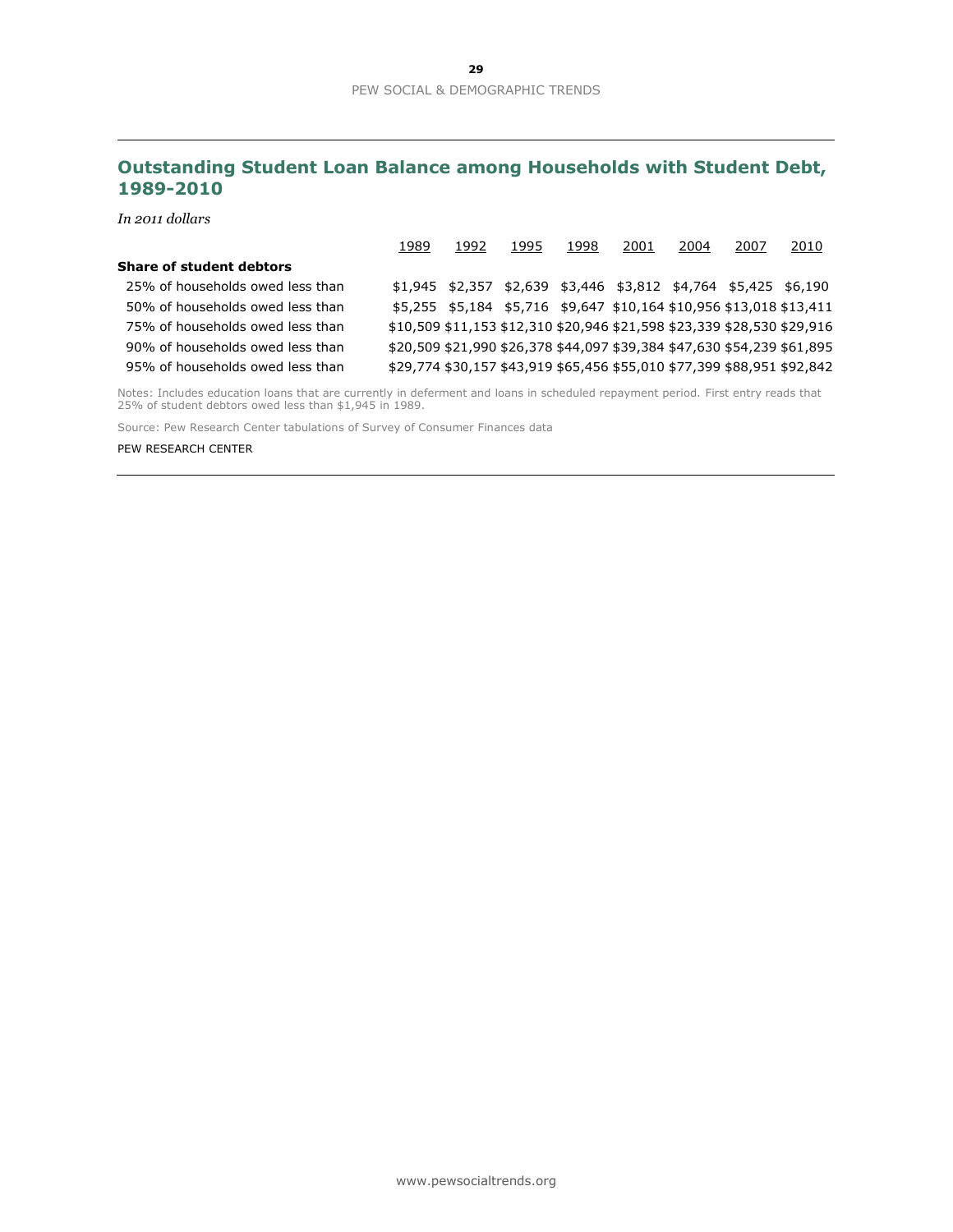## **Outstanding Student Loan Balance among Households with Student Debt, 1989-2010**

*In 2011 dollars*

|                                  | 1989                                                                    | 1992 | 1995                                                                    | 1998 | 2001 | 2004 | 2007 | 2010 |
|----------------------------------|-------------------------------------------------------------------------|------|-------------------------------------------------------------------------|------|------|------|------|------|
| <b>Share of student debtors</b>  |                                                                         |      |                                                                         |      |      |      |      |      |
| 25% of households owed less than |                                                                         |      | $$1,945$ $$2,357$ $$2,639$ $$3,446$ $$3,812$ $$4,764$ $$5,425$ $$6,190$ |      |      |      |      |      |
| 50% of households owed less than |                                                                         |      | \$5,255 \$5,184 \$5,716 \$9,647 \$10,164 \$10,956 \$13,018 \$13,411     |      |      |      |      |      |
| 75% of households owed less than | \$10,509 \$11,153 \$12,310 \$20,946 \$21,598 \$23,339 \$28,530 \$29,916 |      |                                                                         |      |      |      |      |      |
| 90% of households owed less than | \$20,509 \$21,990 \$26,378 \$44,097 \$39,384 \$47,630 \$54,239 \$61,895 |      |                                                                         |      |      |      |      |      |
| 95% of households owed less than | \$29,774 \$30,157 \$43,919 \$65,456 \$55,010 \$77,399 \$88,951 \$92,842 |      |                                                                         |      |      |      |      |      |

Notes: Includes education loans that are currently in deferment and loans in scheduled repayment period. First entry reads that 25% of student debtors owed less than \$1,945 in 1989.

Source: Pew Research Center tabulations of Survey of Consumer Finances data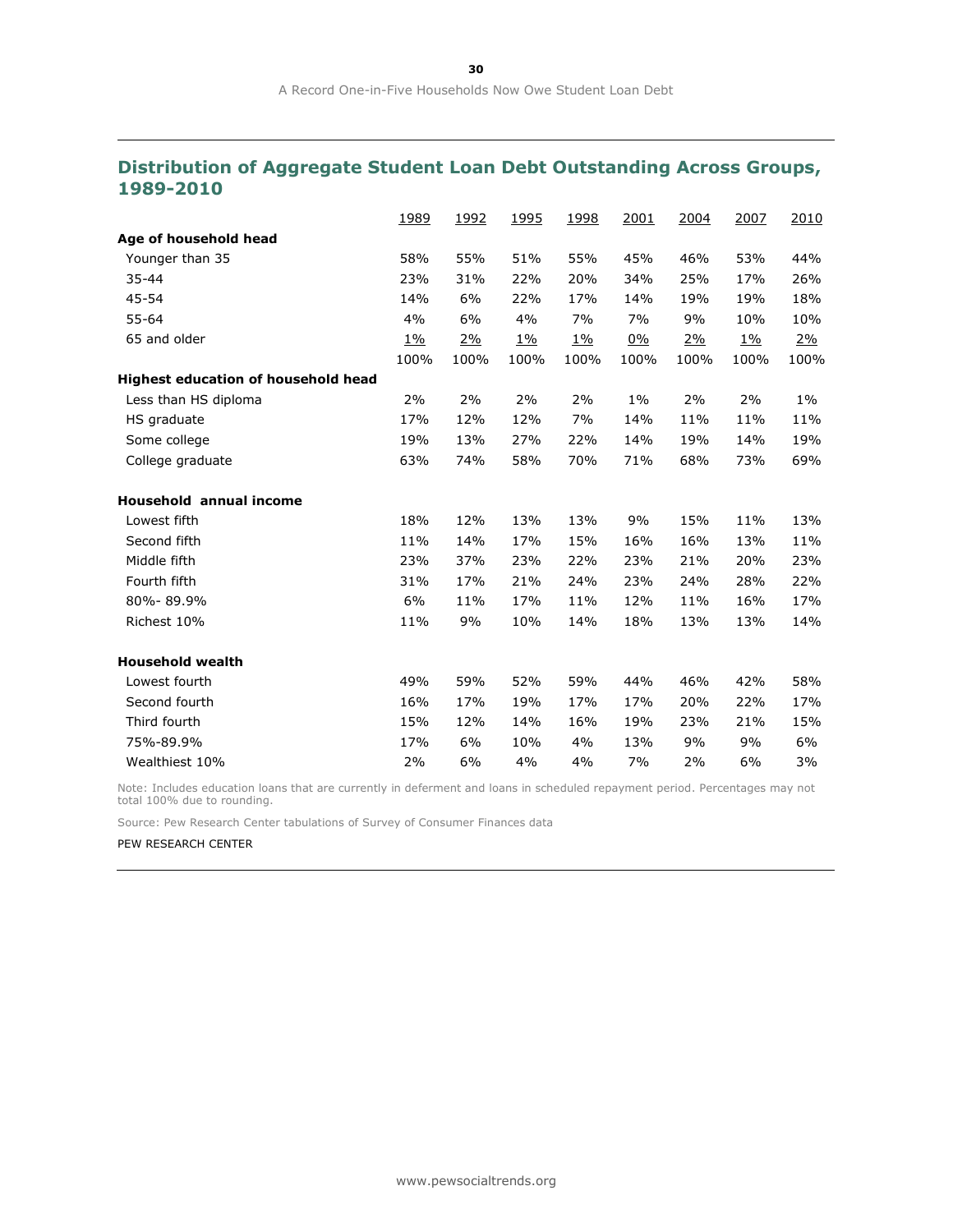## **Distribution of Aggregate Student Loan Debt Outstanding Across Groups, 1989-2010**

|                                            | 1989      | 1992      | 1995      | 1998      | 2001  | 2004 | 2007      | 2010      |
|--------------------------------------------|-----------|-----------|-----------|-----------|-------|------|-----------|-----------|
| Age of household head                      |           |           |           |           |       |      |           |           |
| Younger than 35                            | 58%       | 55%       | 51%       | 55%       | 45%   | 46%  | 53%       | 44%       |
| 35-44                                      | 23%       | 31%       | 22%       | 20%       | 34%   | 25%  | 17%       | 26%       |
| 45-54                                      | 14%       | 6%        | 22%       | 17%       | 14%   | 19%  | 19%       | 18%       |
| 55-64                                      | 4%        | 6%        | 4%        | 7%        | 7%    | 9%   | 10%       | 10%       |
| 65 and older                               | <u>1%</u> | <u>2%</u> | <u>1%</u> | <u>1%</u> | 0%    | 2%   | <u>1%</u> | <u>2%</u> |
|                                            | 100%      | 100%      | 100%      | 100%      | 100%  | 100% | 100%      | 100%      |
| <b>Highest education of household head</b> |           |           |           |           |       |      |           |           |
| Less than HS diploma                       | 2%        | 2%        | 2%        | 2%        | $1\%$ | 2%   | 2%        | $1\%$     |
| HS graduate                                | 17%       | 12%       | 12%       | 7%        | 14%   | 11%  | 11%       | 11%       |
| Some college                               | 19%       | 13%       | 27%       | 22%       | 14%   | 19%  | 14%       | 19%       |
| College graduate                           | 63%       | 74%       | 58%       | 70%       | 71%   | 68%  | 73%       | 69%       |
| <b>Household annual income</b>             |           |           |           |           |       |      |           |           |
| Lowest fifth                               | 18%       | 12%       | 13%       | 13%       | 9%    | 15%  | 11%       | 13%       |
| Second fifth                               | 11%       | 14%       | 17%       | 15%       | 16%   | 16%  | 13%       | 11%       |
| Middle fifth                               | 23%       | 37%       | 23%       | 22%       | 23%   | 21%  | 20%       | 23%       |
| Fourth fifth                               | 31%       | 17%       | 21%       | 24%       | 23%   | 24%  | 28%       | 22%       |
| 80%-89.9%                                  | 6%        | 11%       | 17%       | 11%       | 12%   | 11%  | 16%       | 17%       |
| Richest 10%                                | 11%       | 9%        | 10%       | 14%       | 18%   | 13%  | 13%       | 14%       |
| <b>Household wealth</b>                    |           |           |           |           |       |      |           |           |
| Lowest fourth                              | 49%       | 59%       | 52%       | 59%       | 44%   | 46%  | 42%       | 58%       |
| Second fourth                              | 16%       | 17%       | 19%       | 17%       | 17%   | 20%  | 22%       | 17%       |
| Third fourth                               | 15%       | 12%       | 14%       | 16%       | 19%   | 23%  | 21%       | 15%       |
| 75%-89.9%                                  | 17%       | 6%        | 10%       | 4%        | 13%   | 9%   | 9%        | 6%        |
| Wealthiest 10%                             | 2%        | 6%        | 4%        | 4%        | 7%    | 2%   | 6%        | 3%        |

Note: Includes education loans that are currently in deferment and loans in scheduled repayment period. Percentages may not total 100% due to rounding.

Source: Pew Research Center tabulations of Survey of Consumer Finances data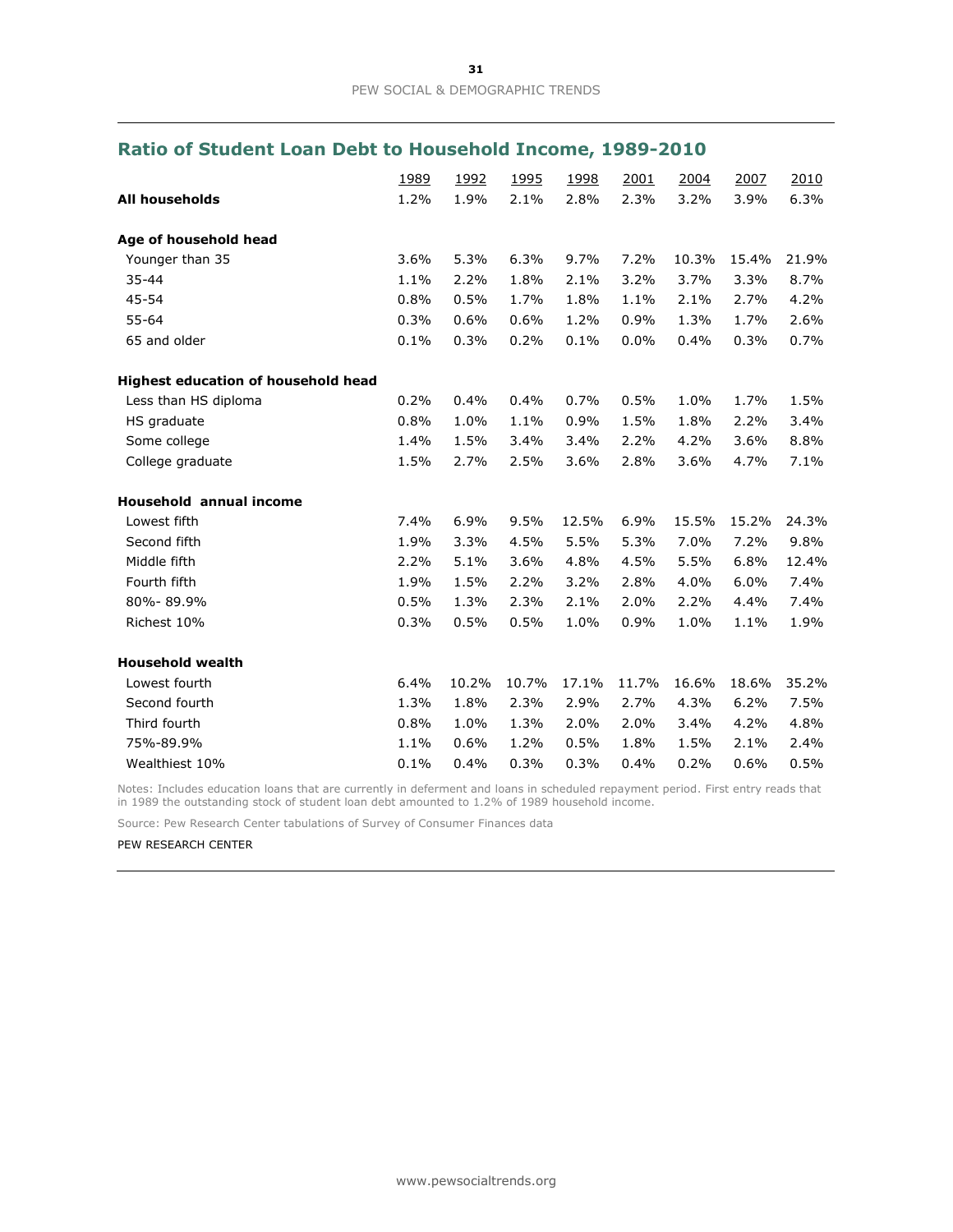## **Ratio of Student Loan Debt to Household Income, 1989-2010**

|                                     | 1989 | 1992  | 1995  | 1998  | 2001  | 2004  | 2007  | 2010  |
|-------------------------------------|------|-------|-------|-------|-------|-------|-------|-------|
| <b>All households</b>               | 1.2% | 1.9%  | 2.1%  | 2.8%  | 2.3%  | 3.2%  | 3.9%  | 6.3%  |
| Age of household head               |      |       |       |       |       |       |       |       |
| Younger than 35                     | 3.6% | 5.3%  | 6.3%  | 9.7%  | 7.2%  | 10.3% | 15.4% | 21.9% |
| $35 - 44$                           | 1.1% | 2.2%  | 1.8%  | 2.1%  | 3.2%  | 3.7%  | 3.3%  | 8.7%  |
| 45-54                               | 0.8% | 0.5%  | 1.7%  | 1.8%  | 1.1%  | 2.1%  | 2.7%  | 4.2%  |
| $55 - 64$                           | 0.3% | 0.6%  | 0.6%  | 1.2%  | 0.9%  | 1.3%  | 1.7%  | 2.6%  |
| 65 and older                        | 0.1% | 0.3%  | 0.2%  | 0.1%  | 0.0%  | 0.4%  | 0.3%  | 0.7%  |
| Highest education of household head |      |       |       |       |       |       |       |       |
| Less than HS diploma                | 0.2% | 0.4%  | 0.4%  | 0.7%  | 0.5%  | 1.0%  | 1.7%  | 1.5%  |
| HS graduate                         | 0.8% | 1.0%  | 1.1%  | 0.9%  | 1.5%  | 1.8%  | 2.2%  | 3.4%  |
| Some college                        | 1.4% | 1.5%  | 3.4%  | 3.4%  | 2.2%  | 4.2%  | 3.6%  | 8.8%  |
| College graduate                    | 1.5% | 2.7%  | 2.5%  | 3.6%  | 2.8%  | 3.6%  | 4.7%  | 7.1%  |
| Household annual income             |      |       |       |       |       |       |       |       |
| Lowest fifth                        | 7.4% | 6.9%  | 9.5%  | 12.5% | 6.9%  | 15.5% | 15.2% | 24.3% |
| Second fifth                        | 1.9% | 3.3%  | 4.5%  | 5.5%  | 5.3%  | 7.0%  | 7.2%  | 9.8%  |
| Middle fifth                        | 2.2% | 5.1%  | 3.6%  | 4.8%  | 4.5%  | 5.5%  | 6.8%  | 12.4% |
| Fourth fifth                        | 1.9% | 1.5%  | 2.2%  | 3.2%  | 2.8%  | 4.0%  | 6.0%  | 7.4%  |
| 80%-89.9%                           | 0.5% | 1.3%  | 2.3%  | 2.1%  | 2.0%  | 2.2%  | 4.4%  | 7.4%  |
| Richest 10%                         | 0.3% | 0.5%  | 0.5%  | 1.0%  | 0.9%  | 1.0%  | 1.1%  | 1.9%  |
| <b>Household wealth</b>             |      |       |       |       |       |       |       |       |
| Lowest fourth                       | 6.4% | 10.2% | 10.7% | 17.1% | 11.7% | 16.6% | 18.6% | 35.2% |
| Second fourth                       | 1.3% | 1.8%  | 2.3%  | 2.9%  | 2.7%  | 4.3%  | 6.2%  | 7.5%  |
| Third fourth                        | 0.8% | 1.0%  | 1.3%  | 2.0%  | 2.0%  | 3.4%  | 4.2%  | 4.8%  |
| 75%-89.9%                           | 1.1% | 0.6%  | 1.2%  | 0.5%  | 1.8%  | 1.5%  | 2.1%  | 2.4%  |
| Wealthiest 10%                      | 0.1% | 0.4%  | 0.3%  | 0.3%  | 0.4%  | 0.2%  | 0.6%  | 0.5%  |

Notes: Includes education loans that are currently in deferment and loans in scheduled repayment period. First entry reads that in 1989 the outstanding stock of student loan debt amounted to 1.2% of 1989 household income.

Source: Pew Research Center tabulations of Survey of Consumer Finances data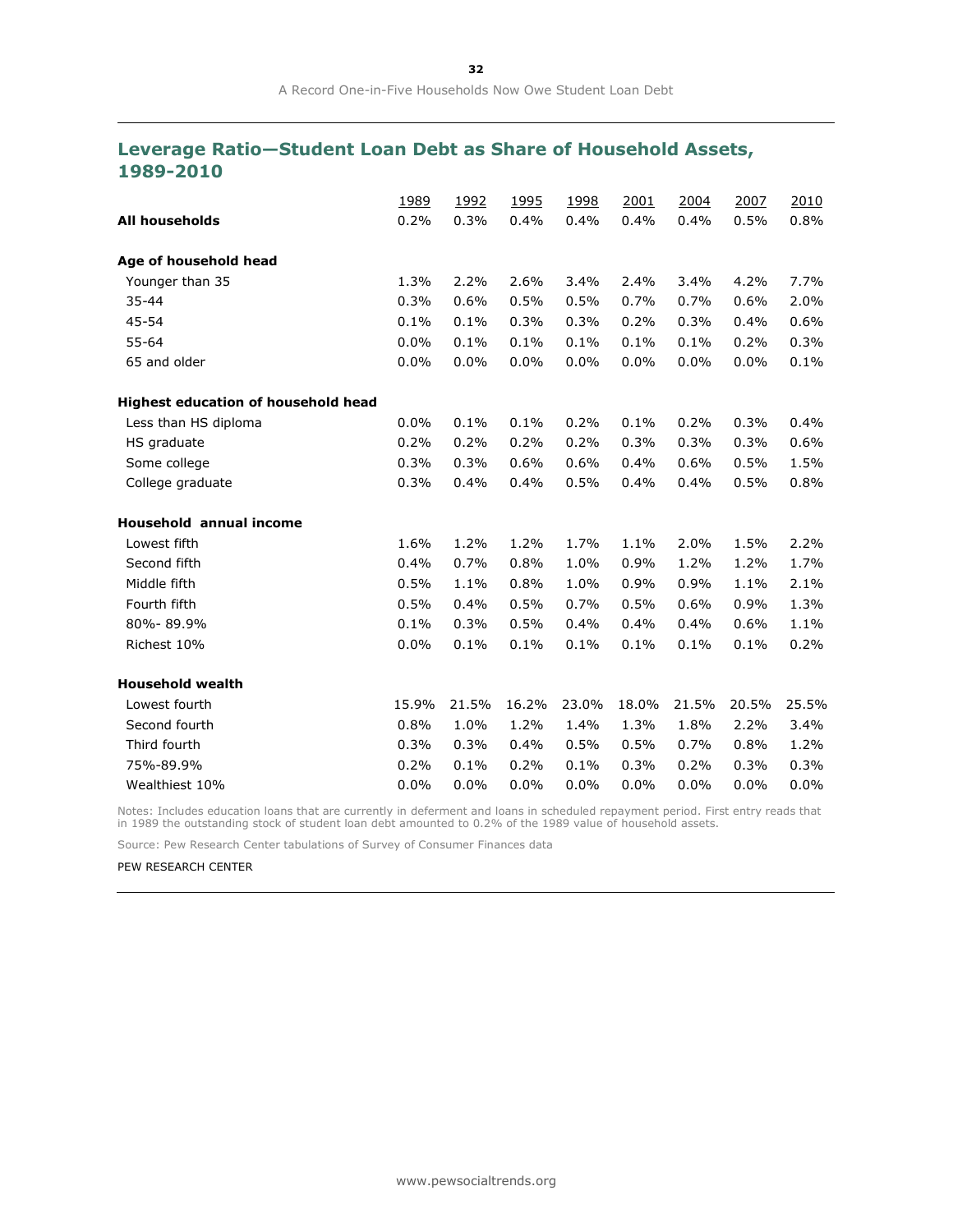## **Leverage Ratio—Student Loan Debt as Share of Household Assets, 1989-2010**

|                                     | 1989  | 1992  | 1995  | 1998  | 2001  | 2004  | 2007  | 2010  |
|-------------------------------------|-------|-------|-------|-------|-------|-------|-------|-------|
| <b>All households</b>               | 0.2%  | 0.3%  | 0.4%  | 0.4%  | 0.4%  | 0.4%  | 0.5%  | 0.8%  |
| Age of household head               |       |       |       |       |       |       |       |       |
| Younger than 35                     | 1.3%  | 2.2%  | 2.6%  | 3.4%  | 2.4%  | 3.4%  | 4.2%  | 7.7%  |
| 35-44                               | 0.3%  | 0.6%  | 0.5%  | 0.5%  | 0.7%  | 0.7%  | 0.6%  | 2.0%  |
| 45-54                               | 0.1%  | 0.1%  | 0.3%  | 0.3%  | 0.2%  | 0.3%  | 0.4%  | 0.6%  |
| $55 - 64$                           | 0.0%  | 0.1%  | 0.1%  | 0.1%  | 0.1%  | 0.1%  | 0.2%  | 0.3%  |
| 65 and older                        | 0.0%  | 0.0%  | 0.0%  | 0.0%  | 0.0%  | 0.0%  | 0.0%  | 0.1%  |
| Highest education of household head |       |       |       |       |       |       |       |       |
| Less than HS diploma                | 0.0%  | 0.1%  | 0.1%  | 0.2%  | 0.1%  | 0.2%  | 0.3%  | 0.4%  |
| HS graduate                         | 0.2%  | 0.2%  | 0.2%  | 0.2%  | 0.3%  | 0.3%  | 0.3%  | 0.6%  |
| Some college                        | 0.3%  | 0.3%  | 0.6%  | 0.6%  | 0.4%  | 0.6%  | 0.5%  | 1.5%  |
| College graduate                    | 0.3%  | 0.4%  | 0.4%  | 0.5%  | 0.4%  | 0.4%  | 0.5%  | 0.8%  |
| <b>Household annual income</b>      |       |       |       |       |       |       |       |       |
| Lowest fifth                        | 1.6%  | 1.2%  | 1.2%  | 1.7%  | 1.1%  | 2.0%  | 1.5%  | 2.2%  |
| Second fifth                        | 0.4%  | 0.7%  | 0.8%  | 1.0%  | 0.9%  | 1.2%  | 1.2%  | 1.7%  |
| Middle fifth                        | 0.5%  | 1.1%  | 0.8%  | 1.0%  | 0.9%  | 0.9%  | 1.1%  | 2.1%  |
| Fourth fifth                        | 0.5%  | 0.4%  | 0.5%  | 0.7%  | 0.5%  | 0.6%  | 0.9%  | 1.3%  |
| 80%-89.9%                           | 0.1%  | 0.3%  | 0.5%  | 0.4%  | 0.4%  | 0.4%  | 0.6%  | 1.1%  |
| Richest 10%                         | 0.0%  | 0.1%  | 0.1%  | 0.1%  | 0.1%  | 0.1%  | 0.1%  | 0.2%  |
| <b>Household wealth</b>             |       |       |       |       |       |       |       |       |
| Lowest fourth                       | 15.9% | 21.5% | 16.2% | 23.0% | 18.0% | 21.5% | 20.5% | 25.5% |
| Second fourth                       | 0.8%  | 1.0%  | 1.2%  | 1.4%  | 1.3%  | 1.8%  | 2.2%  | 3.4%  |
| Third fourth                        | 0.3%  | 0.3%  | 0.4%  | 0.5%  | 0.5%  | 0.7%  | 0.8%  | 1.2%  |
| 75%-89.9%                           | 0.2%  | 0.1%  | 0.2%  | 0.1%  | 0.3%  | 0.2%  | 0.3%  | 0.3%  |
| Wealthiest 10%                      | 0.0%  | 0.0%  | 0.0%  | 0.0%  | 0.0%  | 0.0%  | 0.0%  | 0.0%  |

Notes: Includes education loans that are currently in deferment and loans in scheduled repayment period. First entry reads that in 1989 the outstanding stock of student loan debt amounted to 0.2% of the 1989 value of household assets.

Source: Pew Research Center tabulations of Survey of Consumer Finances data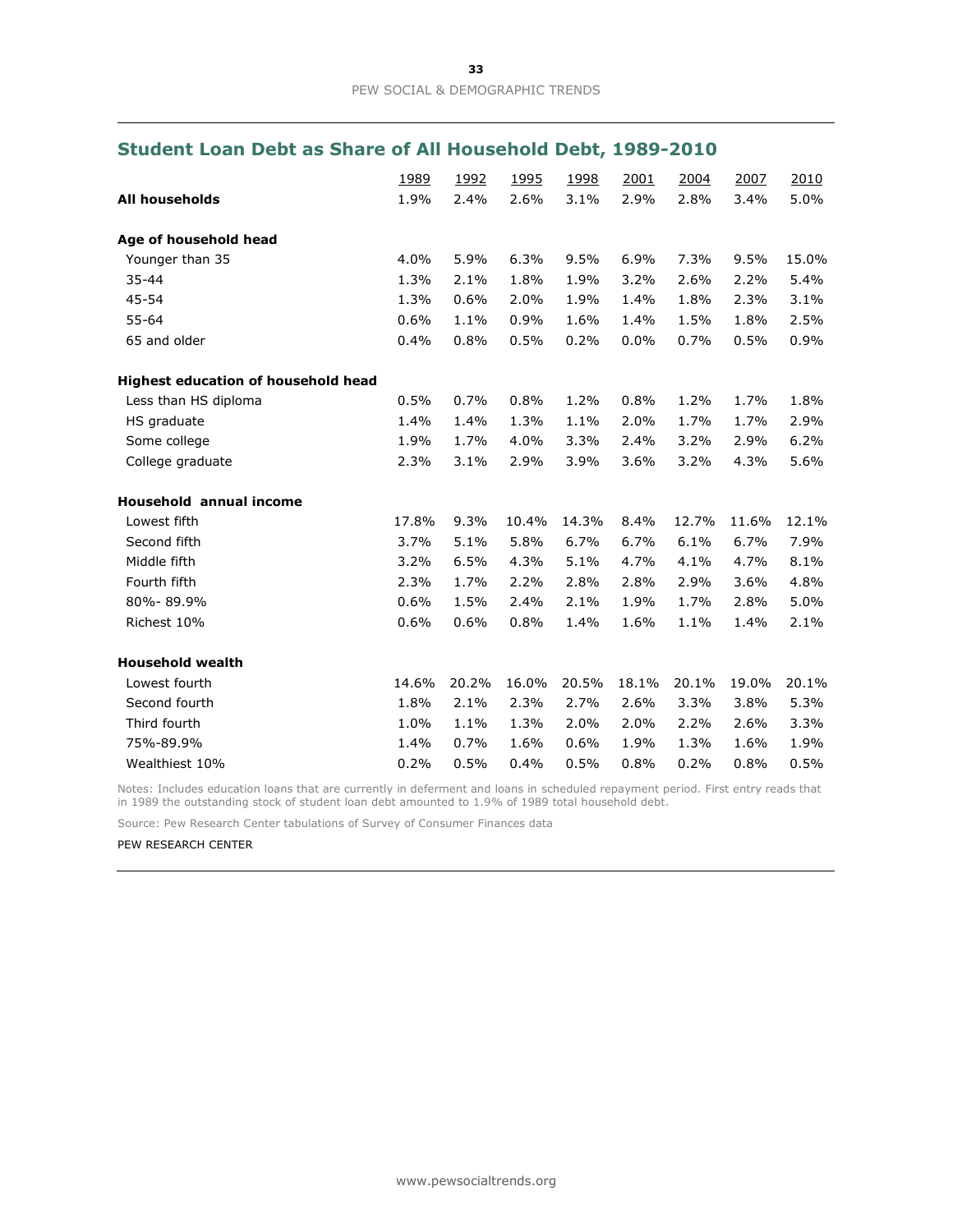## **Student Loan Debt as Share of All Household Debt, 1989-2010**

|                                     | 1989  | 1992  | 1995  | 1998  | 2001  | 2004  | 2007  | 2010  |
|-------------------------------------|-------|-------|-------|-------|-------|-------|-------|-------|
| <b>All households</b>               | 1.9%  | 2.4%  | 2.6%  | 3.1%  | 2.9%  | 2.8%  | 3.4%  | 5.0%  |
| Age of household head               |       |       |       |       |       |       |       |       |
| Younger than 35                     | 4.0%  | 5.9%  | 6.3%  | 9.5%  | 6.9%  | 7.3%  | 9.5%  | 15.0% |
| $35 - 44$                           | 1.3%  | 2.1%  | 1.8%  | 1.9%  | 3.2%  | 2.6%  | 2.2%  | 5.4%  |
| 45-54                               | 1.3%  | 0.6%  | 2.0%  | 1.9%  | 1.4%  | 1.8%  | 2.3%  | 3.1%  |
| $55 - 64$                           | 0.6%  | 1.1%  | 0.9%  | 1.6%  | 1.4%  | 1.5%  | 1.8%  | 2.5%  |
| 65 and older                        | 0.4%  | 0.8%  | 0.5%  | 0.2%  | 0.0%  | 0.7%  | 0.5%  | 0.9%  |
| Highest education of household head |       |       |       |       |       |       |       |       |
| Less than HS diploma                | 0.5%  | 0.7%  | 0.8%  | 1.2%  | 0.8%  | 1.2%  | 1.7%  | 1.8%  |
| HS graduate                         | 1.4%  | 1.4%  | 1.3%  | 1.1%  | 2.0%  | 1.7%  | 1.7%  | 2.9%  |
| Some college                        | 1.9%  | 1.7%  | 4.0%  | 3.3%  | 2.4%  | 3.2%  | 2.9%  | 6.2%  |
| College graduate                    | 2.3%  | 3.1%  | 2.9%  | 3.9%  | 3.6%  | 3.2%  | 4.3%  | 5.6%  |
| Household annual income             |       |       |       |       |       |       |       |       |
| Lowest fifth                        | 17.8% | 9.3%  | 10.4% | 14.3% | 8.4%  | 12.7% | 11.6% | 12.1% |
| Second fifth                        | 3.7%  | 5.1%  | 5.8%  | 6.7%  | 6.7%  | 6.1%  | 6.7%  | 7.9%  |
| Middle fifth                        | 3.2%  | 6.5%  | 4.3%  | 5.1%  | 4.7%  | 4.1%  | 4.7%  | 8.1%  |
| Fourth fifth                        | 2.3%  | 1.7%  | 2.2%  | 2.8%  | 2.8%  | 2.9%  | 3.6%  | 4.8%  |
| 80%-89.9%                           | 0.6%  | 1.5%  | 2.4%  | 2.1%  | 1.9%  | 1.7%  | 2.8%  | 5.0%  |
| Richest 10%                         | 0.6%  | 0.6%  | 0.8%  | 1.4%  | 1.6%  | 1.1%  | 1.4%  | 2.1%  |
| <b>Household wealth</b>             |       |       |       |       |       |       |       |       |
| Lowest fourth                       | 14.6% | 20.2% | 16.0% | 20.5% | 18.1% | 20.1% | 19.0% | 20.1% |
| Second fourth                       | 1.8%  | 2.1%  | 2.3%  | 2.7%  | 2.6%  | 3.3%  | 3.8%  | 5.3%  |
| Third fourth                        | 1.0%  | 1.1%  | 1.3%  | 2.0%  | 2.0%  | 2.2%  | 2.6%  | 3.3%  |
| 75%-89.9%                           | 1.4%  | 0.7%  | 1.6%  | 0.6%  | 1.9%  | 1.3%  | 1.6%  | 1.9%  |
| Wealthiest 10%                      | 0.2%  | 0.5%  | 0.4%  | 0.5%  | 0.8%  | 0.2%  | 0.8%  | 0.5%  |

Notes: Includes education loans that are currently in deferment and loans in scheduled repayment period. First entry reads that in 1989 the outstanding stock of student loan debt amounted to 1.9% of 1989 total household debt.

Source: Pew Research Center tabulations of Survey of Consumer Finances data